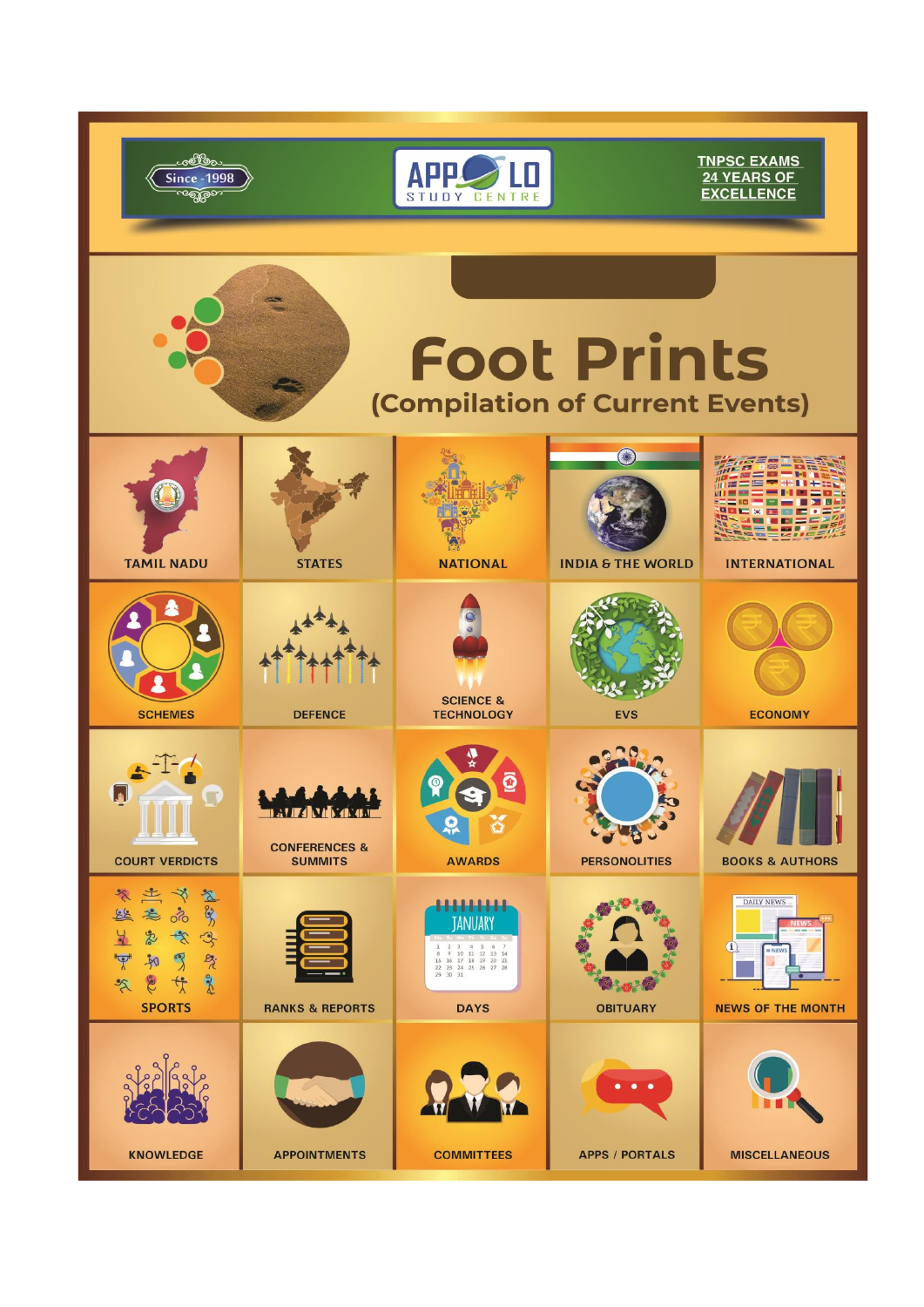|                                                                                                                                                                                                                                                                                  |                                                                       | STUDY CENTRE                                                                                                                                                                                                                               |                                         | <b>TNPSC EXAMS</b><br>24 YEARS OF<br><b>EXCELLENCE</b>                    |  |
|----------------------------------------------------------------------------------------------------------------------------------------------------------------------------------------------------------------------------------------------------------------------------------|-----------------------------------------------------------------------|--------------------------------------------------------------------------------------------------------------------------------------------------------------------------------------------------------------------------------------------|-----------------------------------------|---------------------------------------------------------------------------|--|
| <b>Foot Prints</b><br>(Compilation of Current Events)                                                                                                                                                                                                                            |                                                                       |                                                                                                                                                                                                                                            |                                         |                                                                           |  |
| <b>TAMIL NADU</b>                                                                                                                                                                                                                                                                | <b>STATES</b>                                                         | <b>NATIONAL</b>                                                                                                                                                                                                                            | <b>INDIA &amp; THE WORLD</b>            | <b>INTERNATIONAL</b>                                                      |  |
| <b>SCHEMES</b>                                                                                                                                                                                                                                                                   | <b>DEFENCE</b>                                                        | <b>SCIENCE &amp;</b><br><b>TECHNOLOGY</b>                                                                                                                                                                                                  | <b>EVS</b>                              | <b>ECONOMY</b>                                                            |  |
| <b>COURT VERDICTS</b>                                                                                                                                                                                                                                                            | <b>MERITA VIDEO COM</b><br><b>CONFERENCES &amp;</b><br><b>SUMMITS</b> | <b>AWARDS</b>                                                                                                                                                                                                                              | <b>PERSONOLITIES</b>                    | <b>BOOKS &amp; AUTHORS</b>                                                |  |
| $\mathscr{E}$<br>兰<br>⊰<br>$\mathbb{Z}$<br>$\frac{6}{5}$<br>$rac{1}{2}$<br>总<br>$\delta$<br>$\frac{1}{\sqrt{2}}$<br>忠<br>$\rightarrow$<br>3<br>$P_{\lambda}$<br>$\overline{\mathcal{P}}$<br>$\mathbb{Z}$<br>$\frac{1}{2}$<br><b>Bec</b><br>Co<br>传<br>$\approx$<br><b>SPORTS</b> | <b>RANKS &amp; REPORTS</b>                                            | <del>11111</del><br><b>ANUARY</b><br>$\overline{\mathbf{3}}$<br>$\mathcal{A}$<br>$\begin{array}{cccccc} 8 & 9 & 10 & 11 & 12 & 13 & 14 \\ 15 & 16 & 17 & 18 & 19 & 20 & 21 \end{array}$<br>22 23 24 25 26 27 28<br>29 30 31<br><b>DAYS</b> | <b>OBITUARY</b>                         | DAILY NEWS<br>$\mathbf{u}$<br><b>III NEWS</b><br><b>NEWS OF THE MONTH</b> |  |
| <b>KNOWLEDGE</b>                                                                                                                                                                                                                                                                 | <b>APPOINTMENTS</b>                                                   | <b>COMMITTEES</b>                                                                                                                                                                                                                          | $\bullet$<br>٠<br><b>APPS / PORTALS</b> | <b>MISCELLANEOUS</b>                                                      |  |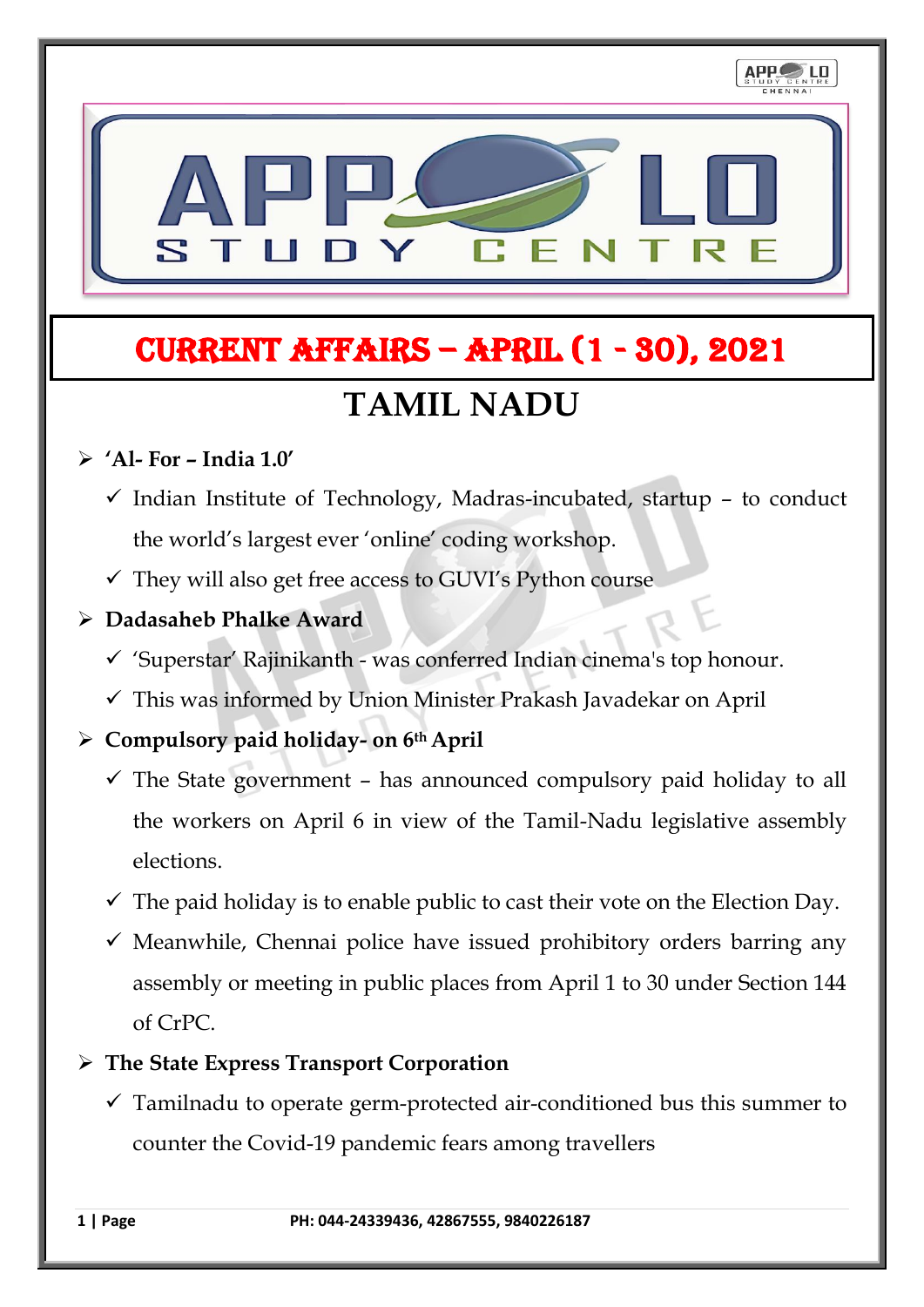# **TAMIL NADU** CURRENT AFFAIRS – April (1 - 30), 2021

## ➢ **'Al- For – India 1.0'**

- $\checkmark$  Indian Institute of Technology, Madras-incubated, startup to conduct the world's largest ever 'online' coding workshop.
- $\checkmark$  They will also get free access to GUVI's Python course

#### ➢ **Dadasaheb Phalke Award**

- ✓ 'Superstar' Rajinikanth was conferred Indian cinema's top honour.
- ✓ This was informed by Union Minister Prakash Javadekar on April

## ➢ **Compulsory paid holiday- on 6thApril**

- $\checkmark$  The State government has announced compulsory paid holiday to all the workers on April 6 in view of the Tamil-Nadu legislative assembly elections.
- $\checkmark$  The paid holiday is to enable public to cast their vote on the Election Day.
- $\checkmark$  Meanwhile, Chennai police have issued prohibitory orders barring any assembly or meeting in public places from April 1 to 30 under Section 144 of CrPC.

## ➢ **The State Express Transport Corporation**

 $\checkmark$  Tamilnadu to operate germ-protected air-conditioned bus this summer to counter the Covid-19 pandemic fears among travellers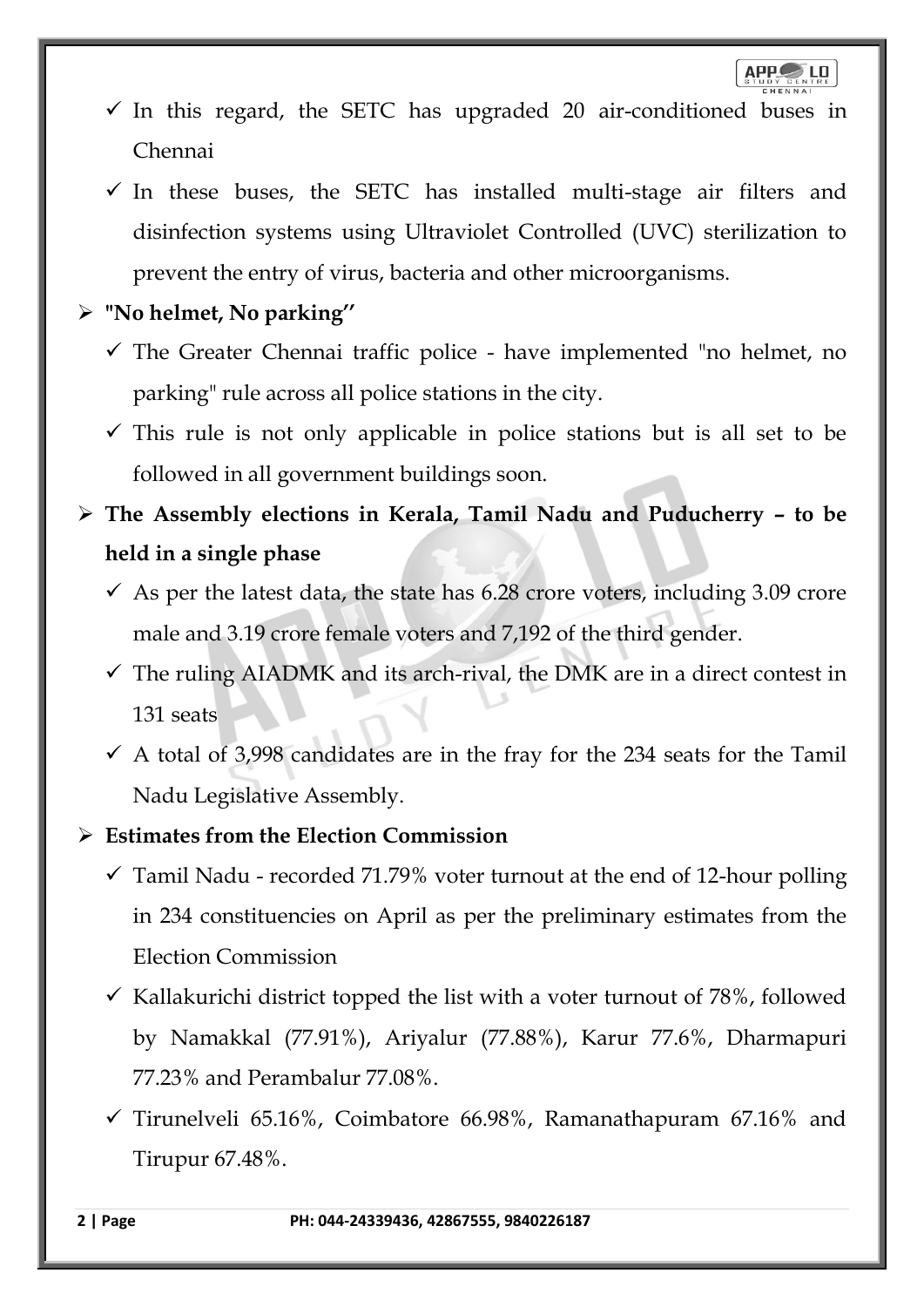- $\checkmark$  In this regard, the SETC has upgraded 20 air-conditioned buses in Chennai
- $\checkmark$  In these buses, the SETC has installed multi-stage air filters and disinfection systems using Ultraviolet Controlled (UVC) sterilization to prevent the entry of virus, bacteria and other microorganisms.
- ➢ **"No helmet, No parking''**
	- ✓ The Greater Chennai traffic police have implemented "no helmet, no parking" rule across all police stations in the city.
	- $\checkmark$  This rule is not only applicable in police stations but is all set to be followed in all government buildings soon.
- ➢ **The Assembly elections in Kerala, Tamil Nadu and Puducherry – to be held in a single phase**
	- $\checkmark$  As per the latest data, the state has 6.28 crore voters, including 3.09 crore male and 3.19 crore female voters and 7,192 of the third gender.
	- $\checkmark$  The ruling AIADMK and its arch-rival, the DMK are in a direct contest in 131 seats
	- $\checkmark$  A total of 3,998 candidates are in the fray for the 234 seats for the Tamil Nadu Legislative Assembly.
- ➢ **Estimates from the Election Commission**
	- $\checkmark$  Tamil Nadu recorded 71.79% voter turnout at the end of 12-hour polling in 234 constituencies on April as per the preliminary estimates from the Election Commission
	- $\checkmark$  Kallakurichi district topped the list with a voter turnout of 78%, followed by Namakkal (77.91%), Ariyalur (77.88%), Karur 77.6%, Dharmapuri 77.23% and Perambalur 77.08%.
	- $\checkmark$  Tirunelveli 65.16%, Coimbatore 66.98%, Ramanathapuram 67.16% and Tirupur 67.48%.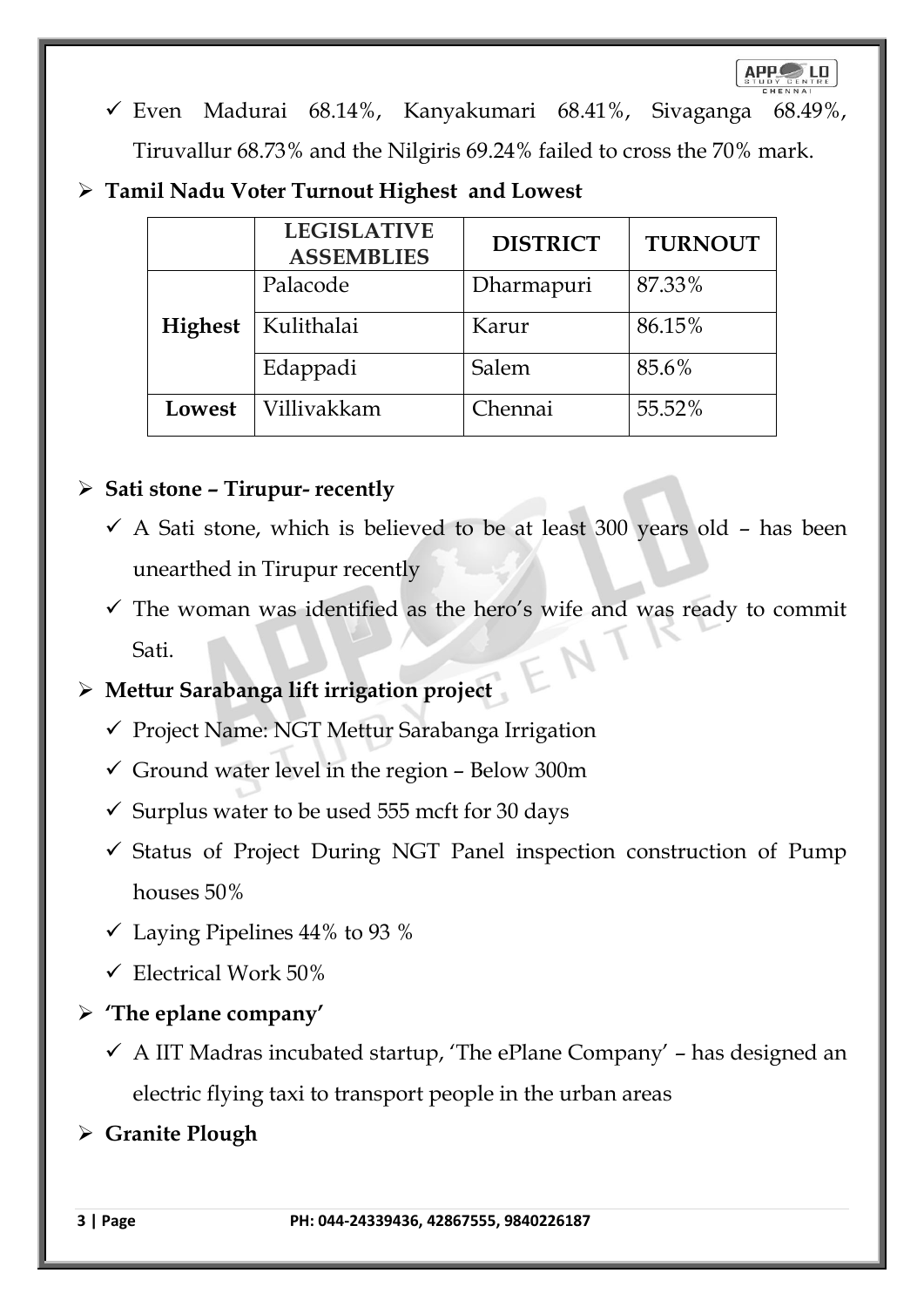- ✓ Even Madurai 68.14%, Kanyakumari 68.41%, Sivaganga 68.49%, Tiruvallur 68.73% and the Nilgiris 69.24% failed to cross the 70% mark.
- ➢ **Tamil Nadu Voter Turnout Highest and Lowest**

|                | <b>LEGISLATIVE</b><br><b>ASSEMBLIES</b> | <b>DISTRICT</b> | <b>TURNOUT</b> |
|----------------|-----------------------------------------|-----------------|----------------|
| <b>Highest</b> | Palacode                                | Dharmapuri      | 87.33%         |
|                | Kulithalai                              | Karur           | 86.15%         |
|                | Edappadi                                | Salem           | 85.6%          |
| Lowest         | Villivakkam                             | Chennai         | 55.52%         |

## ➢ **Sati stone – Tirupur- recently**

- $\checkmark$  A Sati stone, which is believed to be at least 300 years old has been unearthed in Tirupur recently
- $\checkmark$  The woman was identified as the hero's wife and was ready to commit Sati.

## ➢ **Mettur Sarabanga lift irrigation project**

- ✓ Project Name: NGT Mettur Sarabanga Irrigation
- $\checkmark$  Ground water level in the region Below 300m
- $\checkmark$  Surplus water to be used 555 mcft for 30 days
- ✓ Status of Project During NGT Panel inspection construction of Pump houses 50%
- $\checkmark$  Laying Pipelines 44% to 93 %
- $\checkmark$  Electrical Work 50%
- ➢ **'The eplane company'**
	- $\checkmark$  A IIT Madras incubated startup, 'The ePlane Company' has designed an electric flying taxi to transport people in the urban areas
- ➢ **Granite Plough**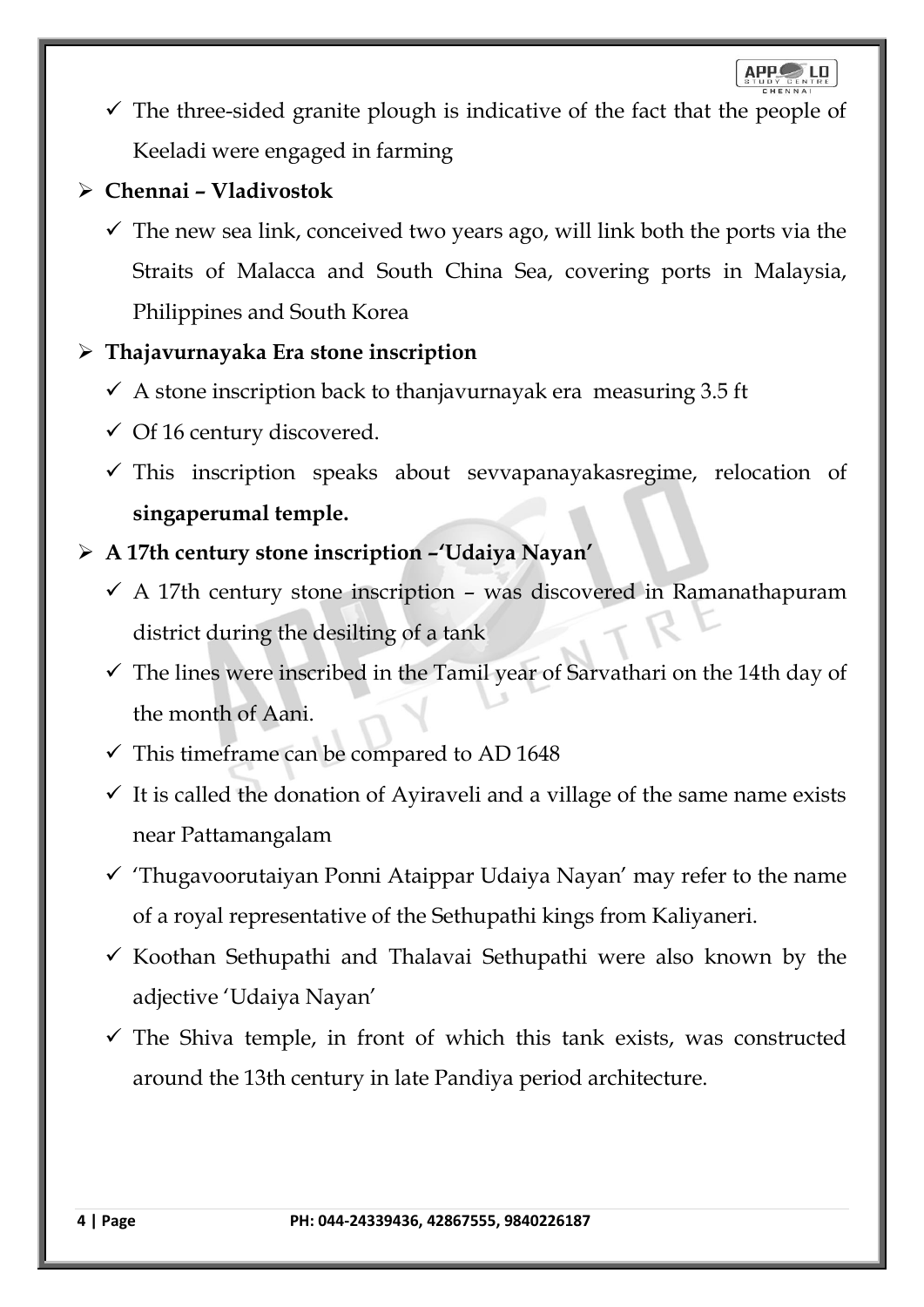$APP$ LD

 $\checkmark$  The three-sided granite plough is indicative of the fact that the people of Keeladi were engaged in farming

## ➢ **Chennai – Vladivostok**

 $\checkmark$  The new sea link, conceived two years ago, will link both the ports via the Straits of Malacca and South China Sea, covering ports in Malaysia, Philippines and South Korea

## ➢ **Thajavurnayaka Era stone inscription**

- $\checkmark$  A stone inscription back to thanjavurnayak era measuring 3.5 ft
- $\checkmark$  Of 16 century discovered.
- $\checkmark$  This inscription speaks about sevvapanayakasregime, relocation of **singaperumal temple.**
- ➢ **A 17th century stone inscription –'Udaiya Nayan'**
	- $\checkmark$  A 17th century stone inscription was discovered in Ramanathapuram district during the desilting of a tank
	- $\checkmark$  The lines were inscribed in the Tamil year of Sarvathari on the 14th day of the month of Aani.
	- $\checkmark$  This timeframe can be compared to AD 1648
	- $\checkmark$  It is called the donation of Ayiraveli and a village of the same name exists near Pattamangalam
	- $\checkmark$  Thugavoorutaiyan Ponni Ataippar Udaiya Nayan' may refer to the name of a royal representative of the Sethupathi kings from Kaliyaneri.
	- $\checkmark$  Koothan Sethupathi and Thalavai Sethupathi were also known by the adjective 'Udaiya Nayan'
	- $\checkmark$  The Shiva temple, in front of which this tank exists, was constructed around the 13th century in late Pandiya period architecture.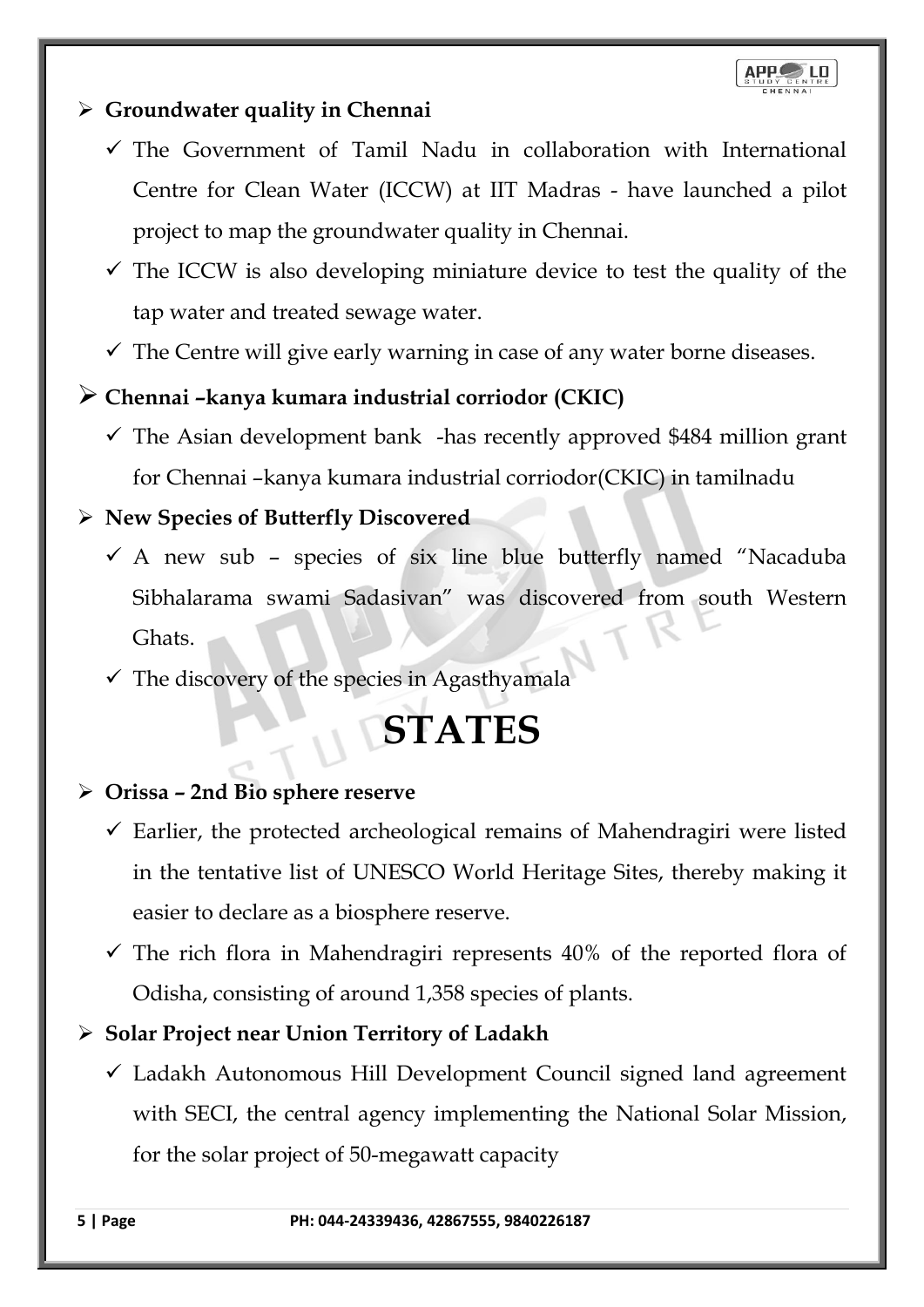## ➢ **Groundwater quality in Chennai**

- $\checkmark$  The Government of Tamil Nadu in collaboration with International Centre for Clean Water (ICCW) at IIT Madras - have launched a pilot project to map the groundwater quality in Chennai.
- $\checkmark$  The ICCW is also developing miniature device to test the quality of the tap water and treated sewage water.
- $\checkmark$  The Centre will give early warning in case of any water borne diseases.

## ➢ **Chennai –kanya kumara industrial corriodor (CKIC)**

 $\checkmark$  The Asian development bank -has recently approved \$484 million grant for Chennai –kanya kumara industrial corriodor(CKIC) in tamilnadu

## ➢ **New Species of Butterfly Discovered**

- $\checkmark$  A new sub species of six line blue butterfly named "Nacaduba Sibhalarama swami Sadasivan" was discovered from south Western Ghats.
- $\checkmark$  The discovery of the species in Agasthyamala

# **STATES**

## ➢ **Orissa – 2nd Bio sphere reserve**

- $\checkmark$  Earlier, the protected archeological remains of Mahendragiri were listed in the tentative list of UNESCO World Heritage Sites, thereby making it easier to declare as a biosphere reserve.
- $\checkmark$  The rich flora in Mahendragiri represents 40% of the reported flora of Odisha, consisting of around 1,358 species of plants.

## ➢ **Solar Project near Union Territory of Ladakh**

 $\checkmark$  Ladakh Autonomous Hill Development Council signed land agreement with SECI, the central agency implementing the National Solar Mission, for the solar project of 50-megawatt capacity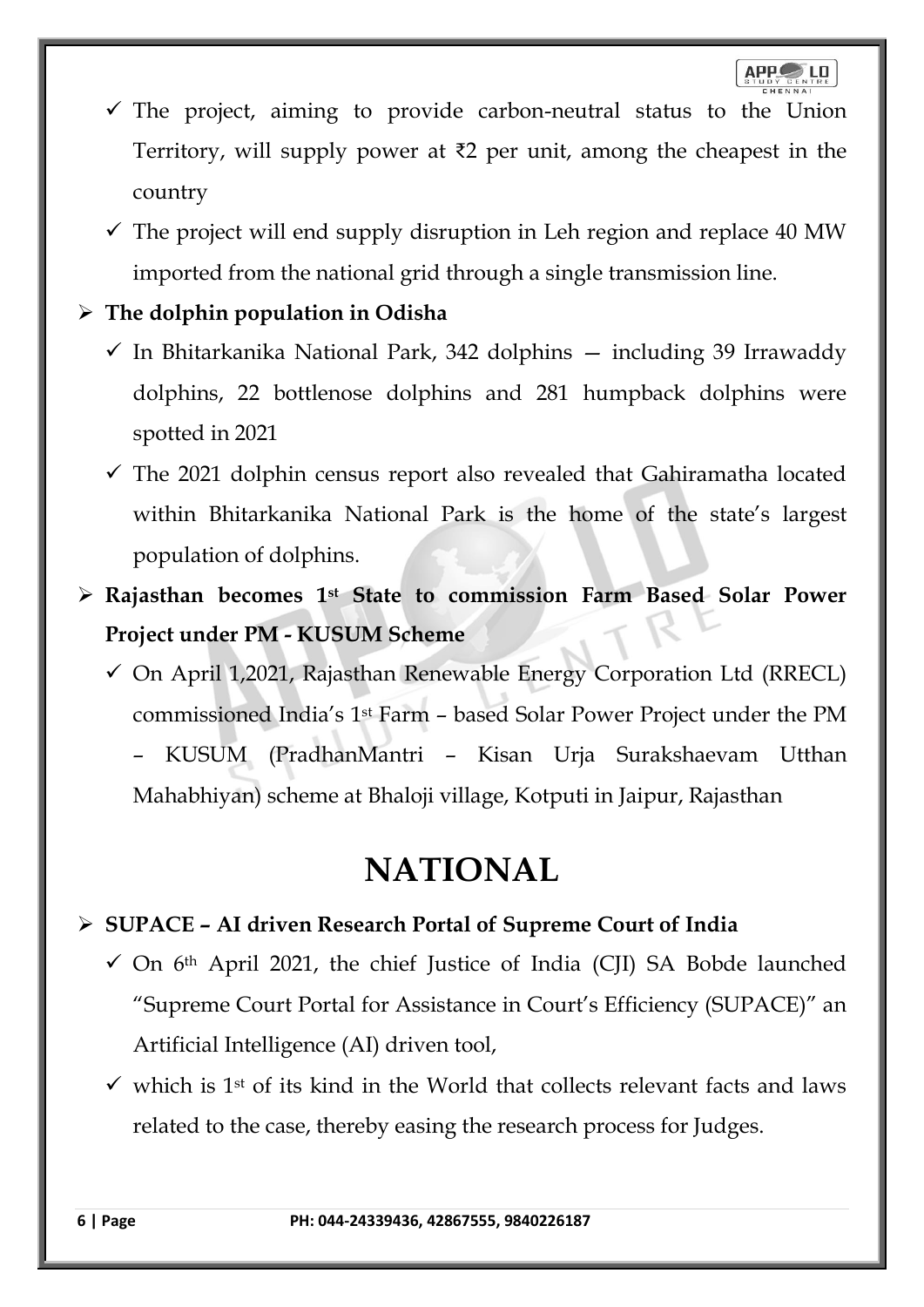- $\checkmark$  The project, aiming to provide carbon-neutral status to the Union Territory, will supply power at ₹2 per unit, among the cheapest in the country
- $\checkmark$  The project will end supply disruption in Leh region and replace 40 MW imported from the national grid through a single transmission line.

## ➢ **The dolphin population in Odisha**

- $\checkmark$  In Bhitarkanika National Park, 342 dolphins  $-$  including 39 Irrawaddy dolphins, 22 bottlenose dolphins and 281 humpback dolphins were spotted in 2021
- $\checkmark$  The 2021 dolphin census report also revealed that Gahiramatha located within Bhitarkanika National Park is the home of the state's largest population of dolphins.
- ➢ **Rajasthan becomes 1st State to commission Farm Based Solar Power Project under PM - KUSUM Scheme**
	- ✓ On April 1,2021, Rajasthan Renewable Energy Corporation Ltd (RRECL) commissioned India's 1st Farm – based Solar Power Project under the PM – KUSUM (PradhanMantri – Kisan Urja Surakshaevam Utthan Mahabhiyan) scheme at Bhaloji village, Kotputi in Jaipur, Rajasthan

## **NATIONAL**

## ➢ **SUPACE – AI driven Research Portal of Supreme Court of India**

- $\checkmark$  On 6<sup>th</sup> April 2021, the chief Justice of India (CJI) SA Bobde launched "Supreme Court Portal for Assistance in Court's Efficiency (SUPACE)" an Artificial Intelligence (AI) driven tool,
- $\checkmark$  which is 1<sup>st</sup> of its kind in the World that collects relevant facts and laws related to the case, thereby easing the research process for Judges.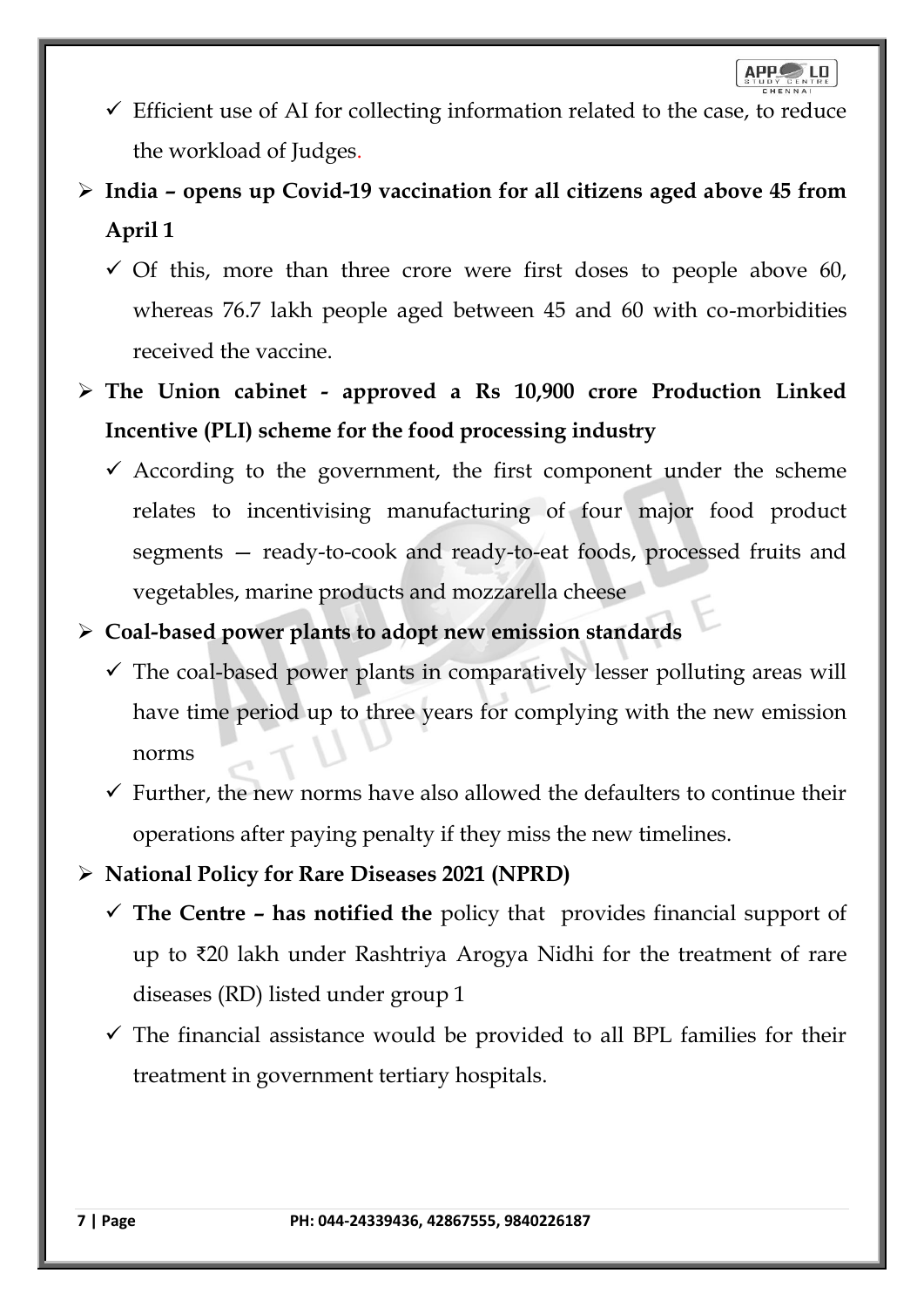- $\checkmark$  Efficient use of AI for collecting information related to the case, to reduce the workload of Judges.
- ➢ **India – opens up Covid-19 vaccination for all citizens aged above 45 from April 1**
	- $\checkmark$  Of this, more than three crore were first doses to people above 60, whereas 76.7 lakh people aged between 45 and 60 with co-morbidities received the vaccine.
- ➢ **The Union cabinet - approved a Rs 10,900 crore Production Linked Incentive (PLI) scheme for the food processing industry**
	- $\checkmark$  According to the government, the first component under the scheme relates to incentivising manufacturing of four major food product segments — ready-to-cook and ready-to-eat foods, processed fruits and vegetables, marine products and mozzarella cheese
- ➢ **Coal-based power plants to adopt new emission standards**
	- $\checkmark$  The coal-based power plants in comparatively lesser polluting areas will have time period up to three years for complying with the new emission norms
	- $\checkmark$  Further, the new norms have also allowed the defaulters to continue their operations after paying penalty if they miss the new timelines.
- ➢ **National Policy for Rare Diseases 2021 (NPRD)**
	- ✓ **The Centre – has notified the** policy that provides financial support of up to ₹20 lakh under Rashtriya Arogya Nidhi for the treatment of rare diseases (RD) listed under group 1
	- $\checkmark$  The financial assistance would be provided to all BPL families for their treatment in government tertiary hospitals.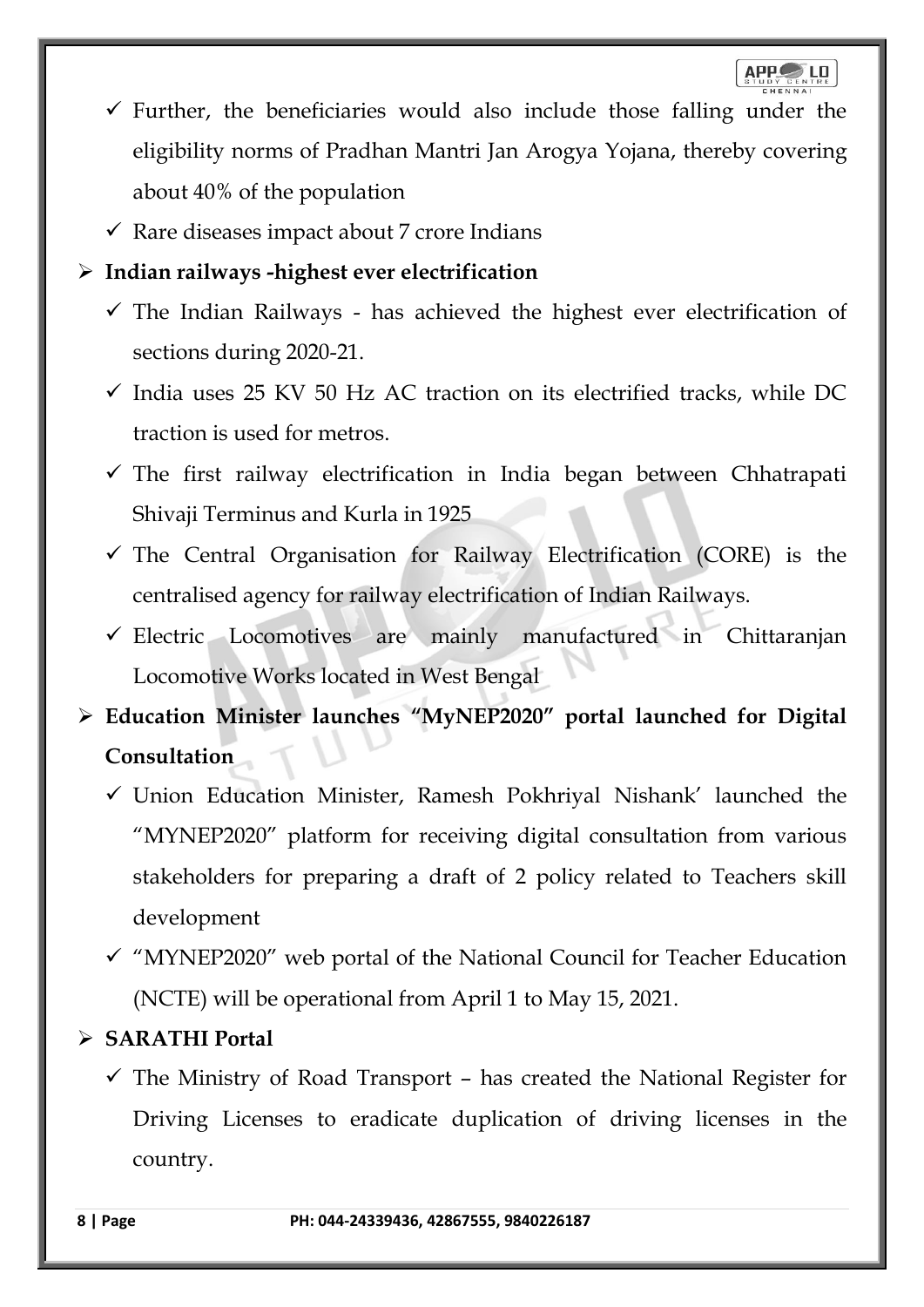- $\checkmark$  Further, the beneficiaries would also include those falling under the eligibility norms of Pradhan Mantri Jan Arogya Yojana, thereby covering about 40% of the population
- $\checkmark$  Rare diseases impact about 7 crore Indians

## ➢ **Indian railways -highest ever electrification**

- $\checkmark$  The Indian Railways has achieved the highest ever electrification of sections during 2020-21.
- $\checkmark$  India uses 25 KV 50 Hz AC traction on its electrified tracks, while DC traction is used for metros.
- ✓ The first railway electrification in India began between Chhatrapati Shivaji Terminus and Kurla in 1925
- ✓ The Central Organisation for Railway Electrification (CORE) is the centralised agency for railway electrification of Indian Railways.
- ✓ Electric Locomotives are mainly manufactured in Chittaranjan Locomotive Works located in West Bengal
- ➢ **Education Minister launches "MyNEP2020" portal launched for Digital Consultation**
	- $\checkmark$  Union Education Minister, Ramesh Pokhriyal Nishank' launched the "MYNEP2020" platform for receiving digital consultation from various stakeholders for preparing a draft of 2 policy related to Teachers skill development
	- $\checkmark$  "MYNEP2020" web portal of the National Council for Teacher Education (NCTE) will be operational from April 1 to May 15, 2021.

## ➢ **SARATHI Portal**

 $\checkmark$  The Ministry of Road Transport – has created the National Register for Driving Licenses to eradicate duplication of driving licenses in the country.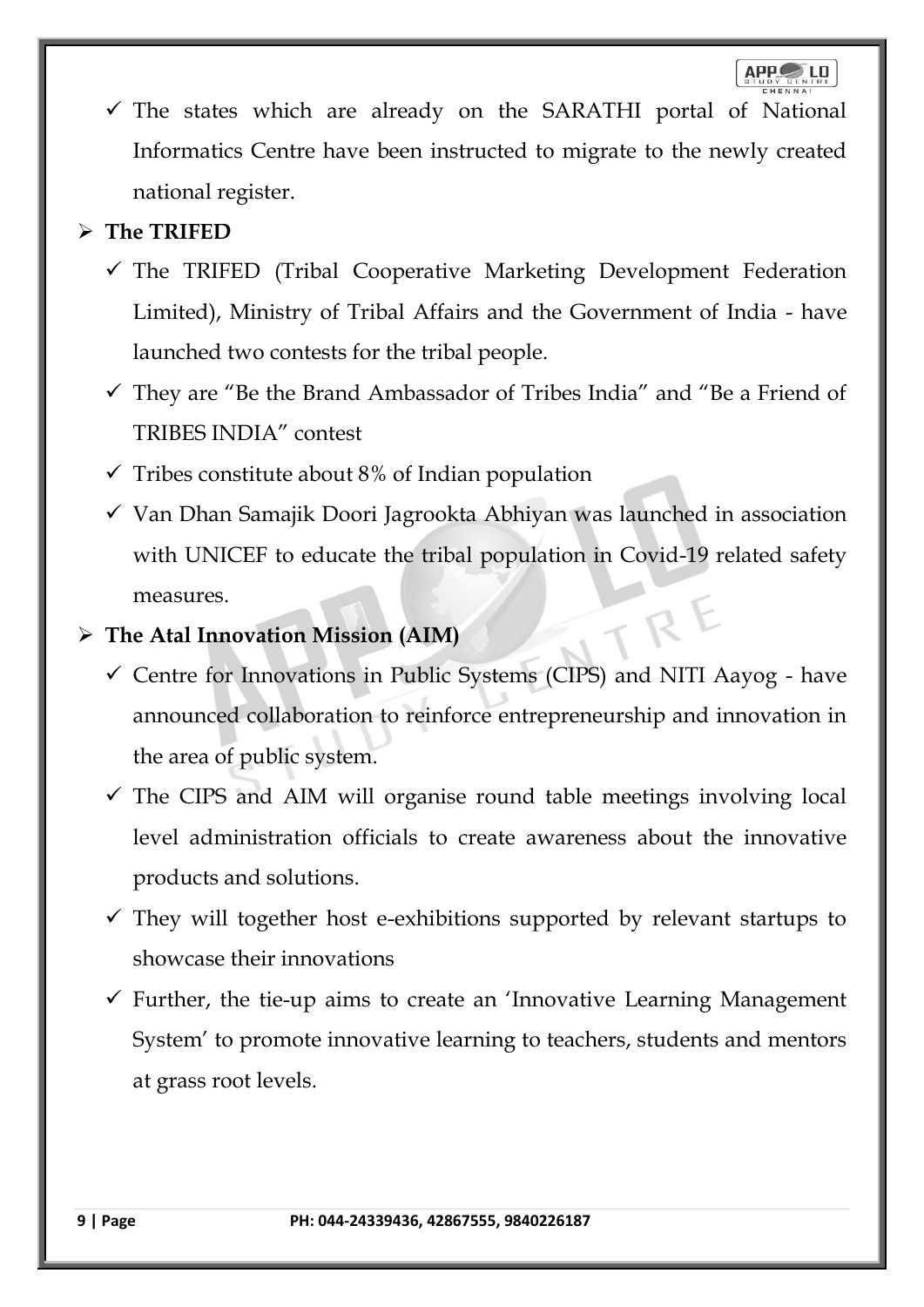$\checkmark$  The states which are already on the SARATHI portal of National Informatics Centre have been instructed to migrate to the newly created national register.

## ➢ **The TRIFED**

- $\checkmark$  The TRIFED (Tribal Cooperative Marketing Development Federation Limited), Ministry of Tribal Affairs and the Government of India - have launched two contests for the tribal people.
- ✓ They are "Be the Brand Ambassador of Tribes India" and "Be a Friend of TRIBES INDIA" contest
- $\checkmark$  Tribes constitute about 8% of Indian population
- $\checkmark$  Van Dhan Samajik Doori Jagrookta Abhiyan was launched in association with UNICEF to educate the tribal population in Covid-19 related safety measures.

## ➢ **The Atal Innovation Mission (AIM)**

- $\checkmark$  Centre for Innovations in Public Systems (CIPS) and NITI Aayog have announced collaboration to reinforce entrepreneurship and innovation in the area of public system.
- $\checkmark$  The CIPS and AIM will organise round table meetings involving local level administration officials to create awareness about the innovative products and solutions.
- $\checkmark$  They will together host e-exhibitions supported by relevant startups to showcase their innovations
- $\checkmark$  Further, the tie-up aims to create an 'Innovative Learning Management System' to promote innovative learning to teachers, students and mentors at grass root levels.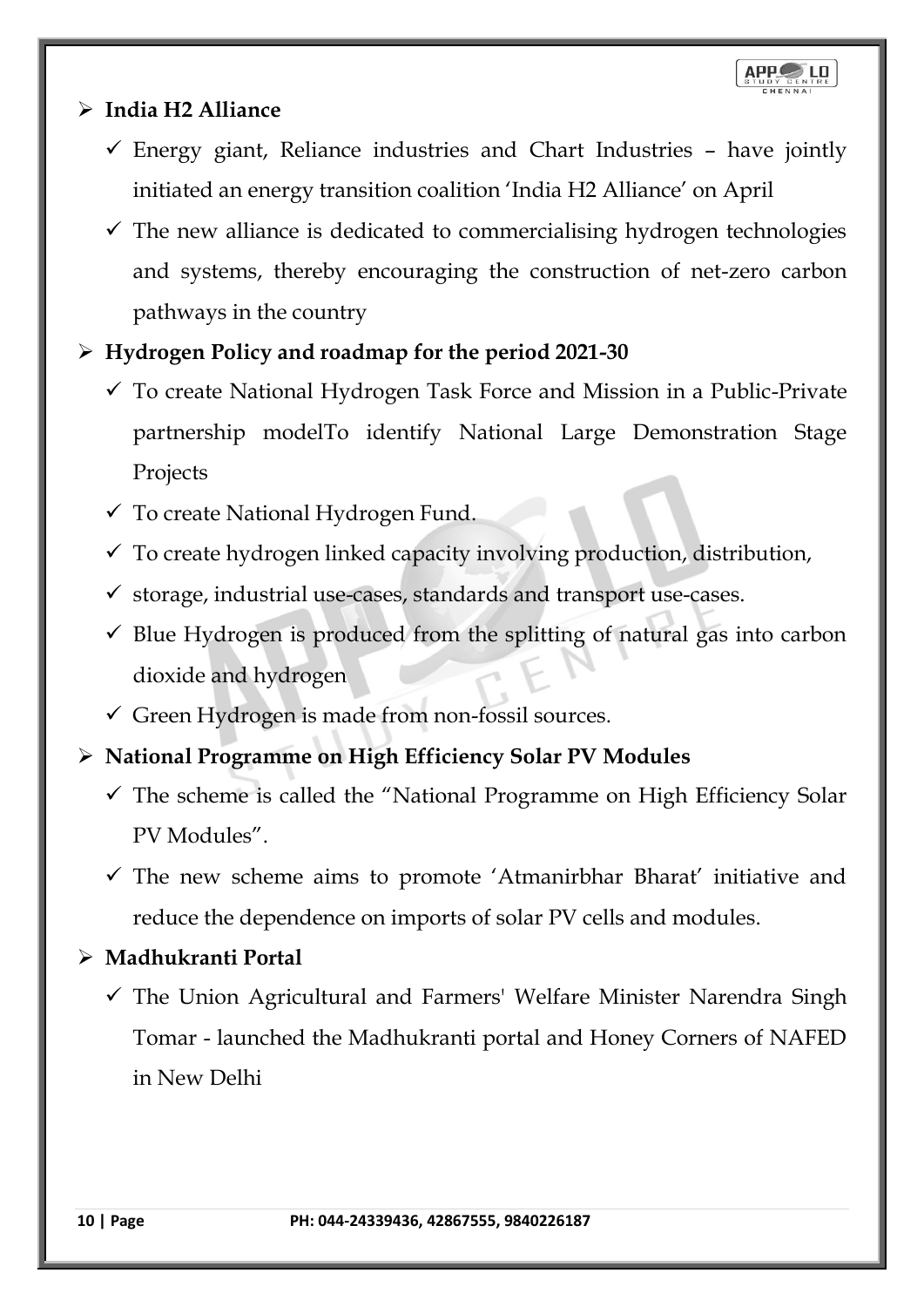## ➢ **India H2 Alliance**

- $\checkmark$  Energy giant, Reliance industries and Chart Industries have jointly initiated an energy transition coalition 'India H2 Alliance' on April
- $\checkmark$  The new alliance is dedicated to commercialising hydrogen technologies and systems, thereby encouraging the construction of net-zero carbon pathways in the country
- ➢ **Hydrogen Policy and roadmap for the period 2021-30**
	- $\checkmark$  To create National Hydrogen Task Force and Mission in a Public-Private partnership modelTo identify National Large Demonstration Stage Projects
	- $\checkmark$  To create National Hydrogen Fund.
	- $\checkmark$  To create hydrogen linked capacity involving production, distribution,
	- $\checkmark$  storage, industrial use-cases, standards and transport use-cases.
	- ✓ Blue Hydrogen is produced from the splitting of natural gas into carbon dioxide and hydrogen
	- ✓ Green Hydrogen is made from non-fossil sources.
- ➢ **National Programme on High Efficiency Solar PV Modules**
	- $\checkmark$  The scheme is called the "National Programme on High Efficiency Solar PV Modules".
	- $\checkmark$  The new scheme aims to promote 'Atmanirbhar Bharat' initiative and reduce the dependence on imports of solar PV cells and modules.
- ➢ **Madhukranti Portal** 
	- $\checkmark$  The Union Agricultural and Farmers' Welfare Minister Narendra Singh Tomar - launched the Madhukranti portal and Honey Corners of NAFED in New Delhi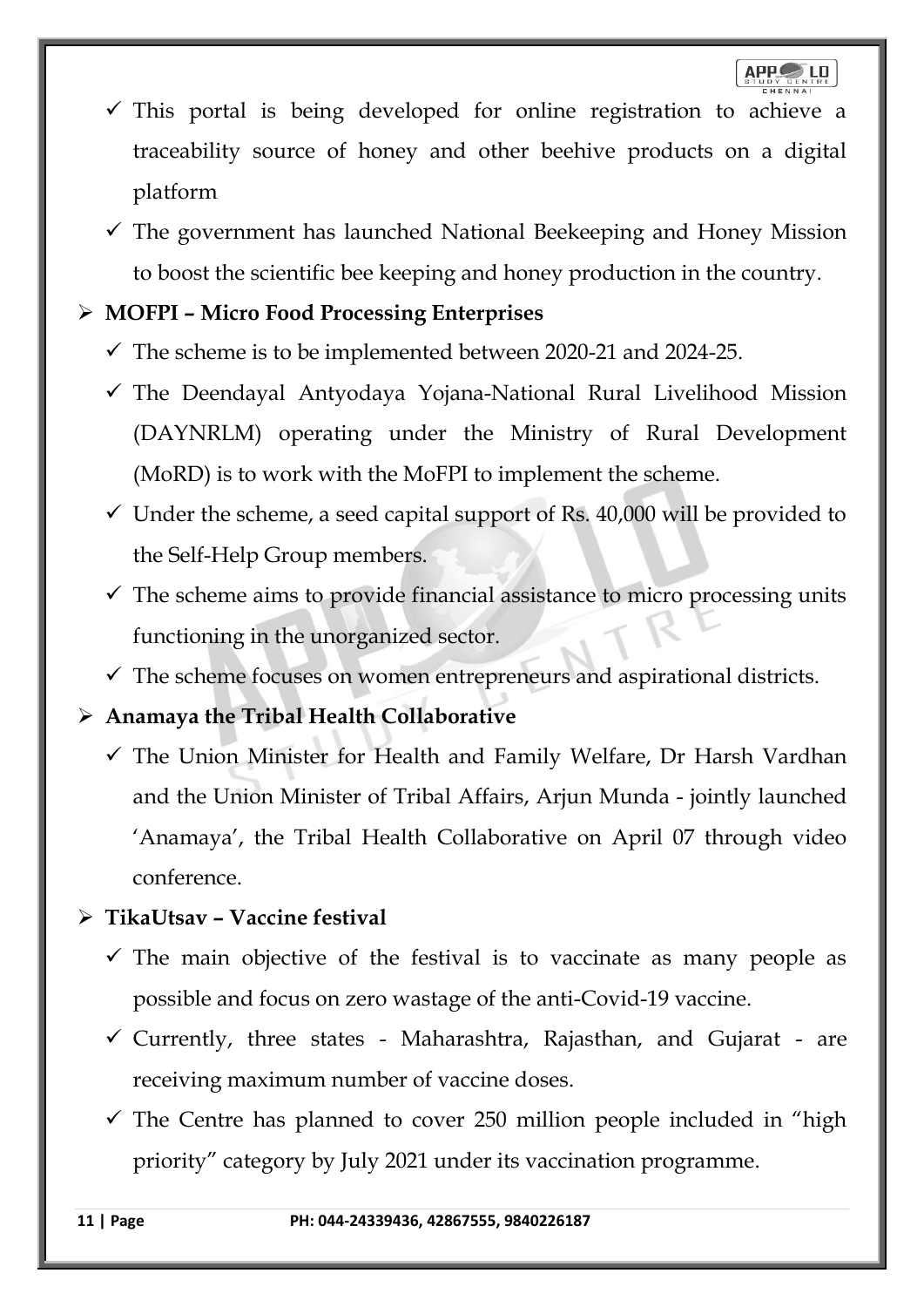- $\checkmark$  This portal is being developed for online registration to achieve a traceability source of honey and other beehive products on a digital platform
- $\checkmark$  The government has launched National Beekeeping and Honey Mission to boost the scientific bee keeping and honey production in the country.

## ➢ **MOFPI – Micro Food Processing Enterprises**

- $\checkmark$  The scheme is to be implemented between 2020-21 and 2024-25.
- $\checkmark$  The Deendayal Antyodaya Yojana-National Rural Livelihood Mission (DAYNRLM) operating under the Ministry of Rural Development (MoRD) is to work with the MoFPI to implement the scheme.
- $\checkmark$  Under the scheme, a seed capital support of Rs. 40,000 will be provided to the Self-Help Group members.
- $\checkmark$  The scheme aims to provide financial assistance to micro processing units functioning in the unorganized sector.
- $\checkmark$  The scheme focuses on women entrepreneurs and aspirational districts.

## ➢ **Anamaya the Tribal Health Collaborative**

 $\checkmark$  The Union Minister for Health and Family Welfare, Dr Harsh Vardhan and the Union Minister of Tribal Affairs, Arjun Munda - jointly launched 'Anamaya', the Tribal Health Collaborative on April 07 through video conference.

## ➢ **TikaUtsav – Vaccine festival**

- $\checkmark$  The main objective of the festival is to vaccinate as many people as possible and focus on zero wastage of the anti-Covid-19 vaccine.
- $\checkmark$  Currently, three states Maharashtra, Rajasthan, and Gujarat are receiving maximum number of vaccine doses.
- $\checkmark$  The Centre has planned to cover 250 million people included in "high priority" category by July 2021 under its vaccination programme.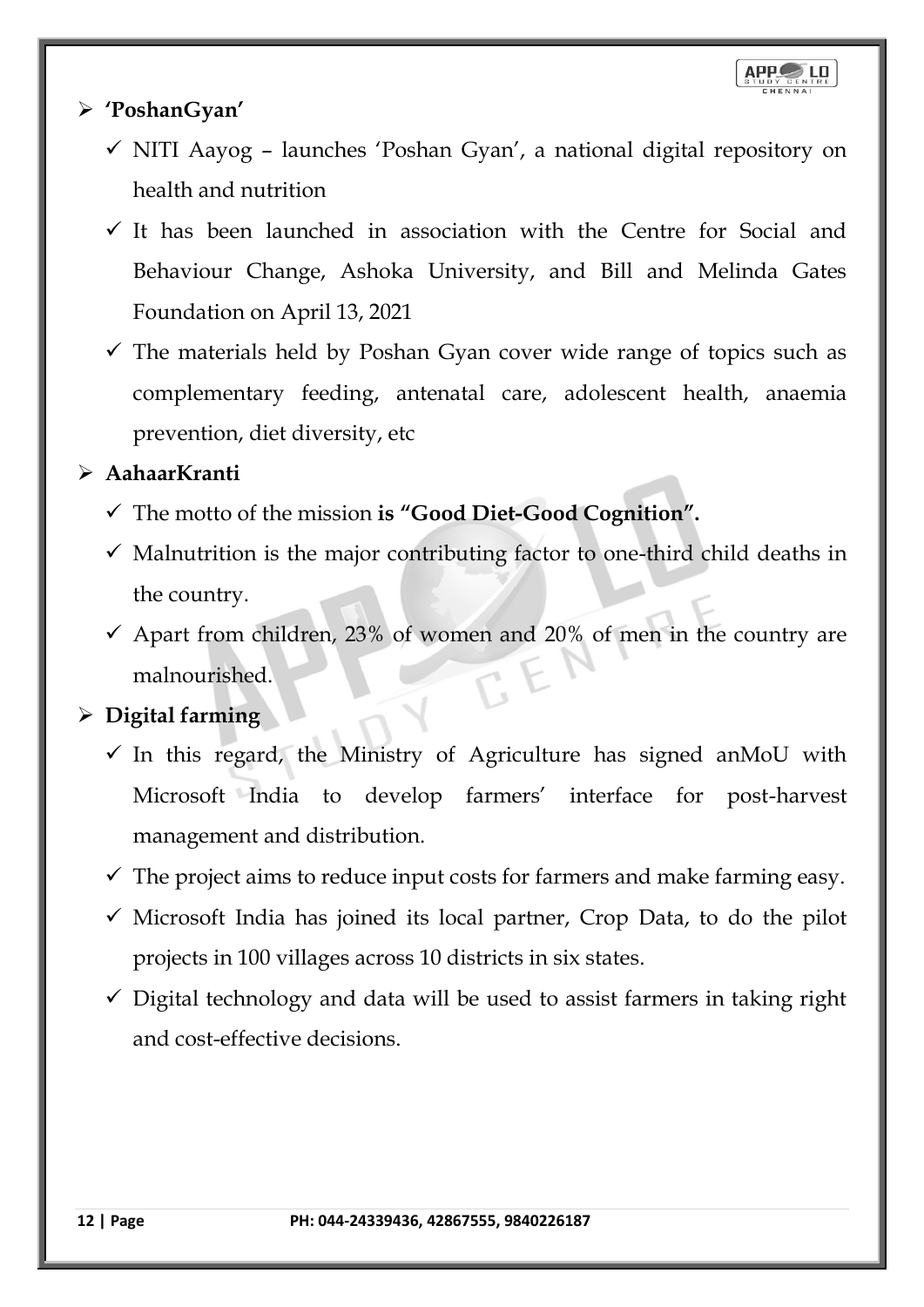### ➢ **'PoshanGyan'**

- ✓ NITI Aayog launches 'Poshan Gyan', a national digital repository on health and nutrition
- $\checkmark$  It has been launched in association with the Centre for Social and Behaviour Change, Ashoka University, and Bill and Melinda Gates Foundation on April 13, 2021
- $\checkmark$  The materials held by Poshan Gyan cover wide range of topics such as complementary feeding, antenatal care, adolescent health, anaemia prevention, diet diversity, etc

## ➢ **AahaarKranti**

- ✓ The motto of the mission **is "Good Diet-Good Cognition".**
- $\checkmark$  Malnutrition is the major contributing factor to one-third child deaths in the country.
- $\checkmark$  Apart from children, 23% of women and 20% of men in the country are malnourished.

## ➢ **Digital farming**

- $\checkmark$  In this regard, the Ministry of Agriculture has signed anMoU with Microsoft India to develop farmers' interface for post-harvest management and distribution.
- $\checkmark$  The project aims to reduce input costs for farmers and make farming easy.
- $\checkmark$  Microsoft India has joined its local partner, Crop Data, to do the pilot projects in 100 villages across 10 districts in six states.
- $\checkmark$  Digital technology and data will be used to assist farmers in taking right and cost-effective decisions.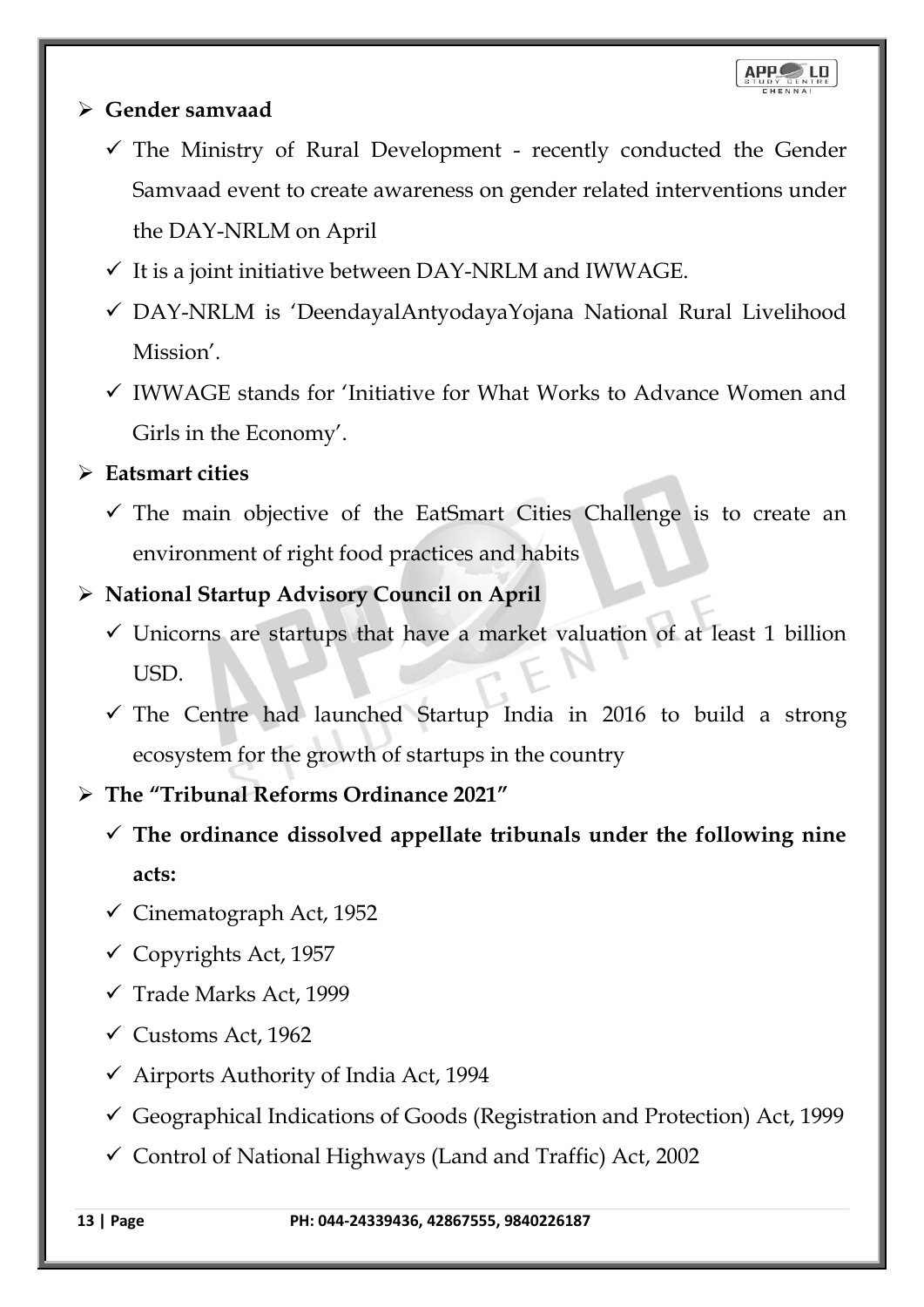### ➢ **Gender samvaad**

- $\checkmark$  The Ministry of Rural Development recently conducted the Gender Samvaad event to create awareness on gender related interventions under the DAY-NRLM on April
- $\checkmark$  It is a joint initiative between DAY-NRLM and IWWAGE.
- ✓ DAY-NRLM is 'DeendayalAntyodayaYojana National Rural Livelihood Mission'.
- $\checkmark$  IWWAGE stands for 'Initiative for What Works to Advance Women and Girls in the Economy'.

## ➢ **Eatsmart cities**

 $\checkmark$  The main objective of the EatSmart Cities Challenge is to create an environment of right food practices and habits

## ➢ **National Startup Advisory Council on April**

- ✓ Unicorns are startups that have a market valuation of at least 1 billion USD.
- ✓ The Centre had launched Startup India in 2016 to build a strong ecosystem for the growth of startups in the country

## ➢ **The "Tribunal Reforms Ordinance 2021"**

- ✓ **The ordinance dissolved appellate tribunals under the following nine acts:**
- $\checkmark$  Cinematograph Act, 1952
- $\checkmark$  Copyrights Act, 1957
- ✓ Trade Marks Act, 1999
- $\checkmark$  Customs Act, 1962
- $\checkmark$  Airports Authority of India Act, 1994
- $\checkmark$  Geographical Indications of Goods (Registration and Protection) Act, 1999
- $\checkmark$  Control of National Highways (Land and Traffic) Act, 2002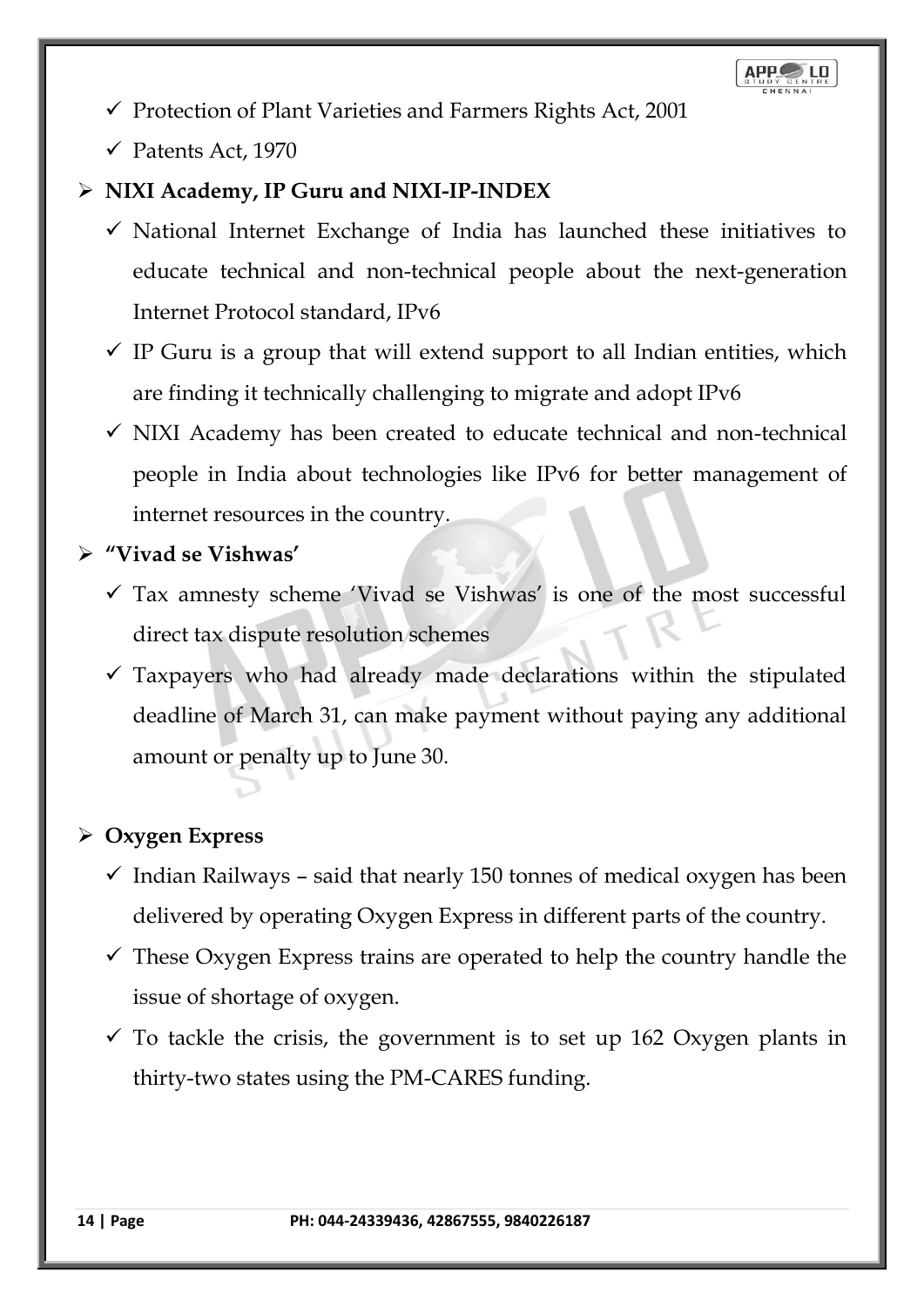

- ✓ Protection of Plant Varieties and Farmers Rights Act, 2001
- $\checkmark$  Patents Act, 1970

## ➢ **NIXI Academy, IP Guru and NIXI-IP-INDEX**

- $\checkmark$  National Internet Exchange of India has launched these initiatives to educate technical and non-technical people about the next-generation Internet Protocol standard, IPv6
- $\checkmark$  IP Guru is a group that will extend support to all Indian entities, which are finding it technically challenging to migrate and adopt IPv6
- $\checkmark$  NIXI Academy has been created to educate technical and non-technical people in India about technologies like IPv6 for better management of internet resources in the country.
- ➢ **"Vivad se Vishwas'**
	- ✓ Tax amnesty scheme 'Vivad se Vishwas' is one of the most successful direct tax dispute resolution schemes
	- ✓ Taxpayers who had already made declarations within the stipulated deadline of March 31, can make payment without paying any additional amount or penalty up to June 30.

## ➢ **Oxygen Express**

- $\checkmark$  Indian Railways said that nearly 150 tonnes of medical oxygen has been delivered by operating Oxygen Express in different parts of the country.
- $\checkmark$  These Oxygen Express trains are operated to help the country handle the issue of shortage of oxygen.
- $\checkmark$  To tackle the crisis, the government is to set up 162 Oxygen plants in thirty-two states using the PM-CARES funding.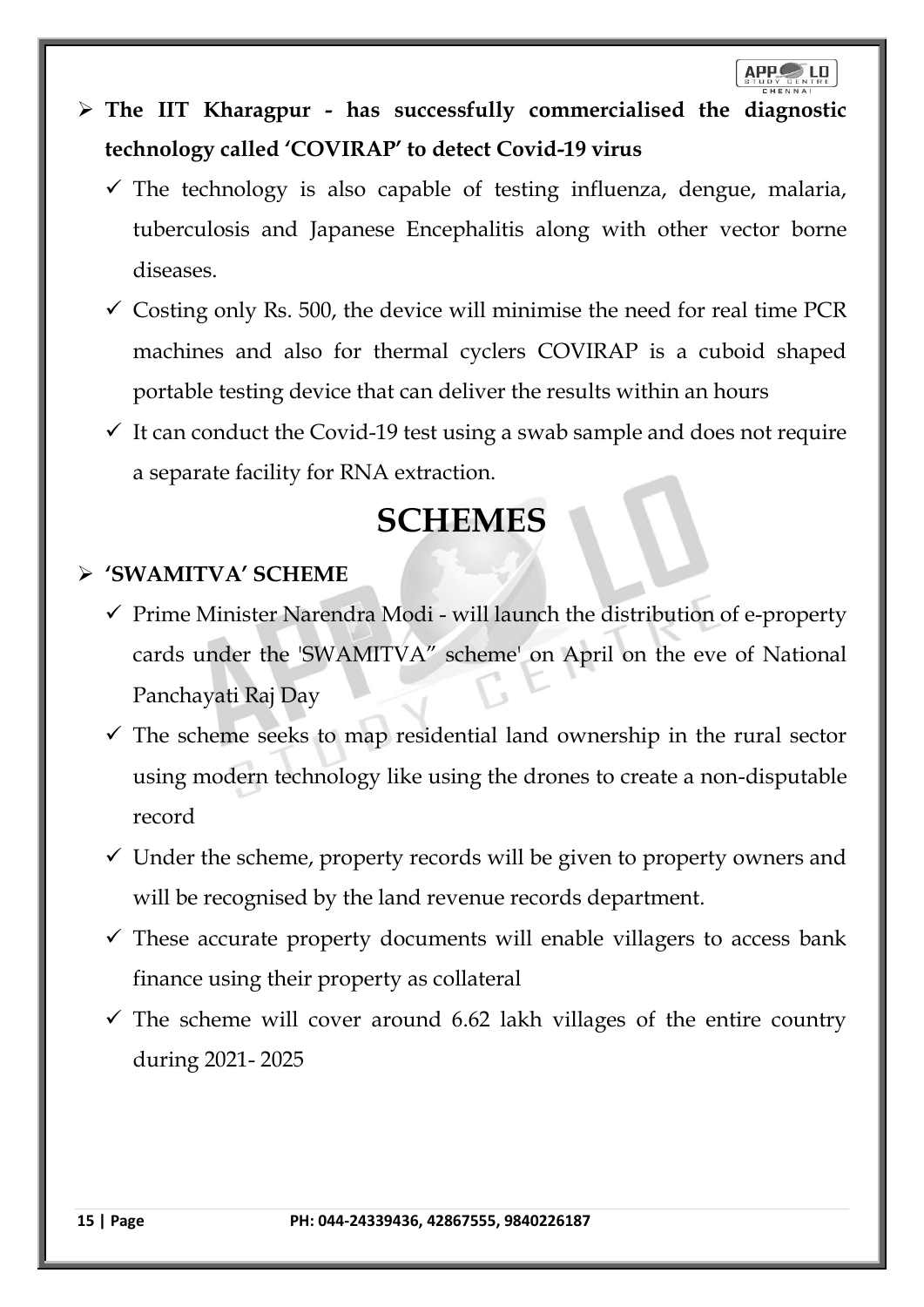## ➢ **The IIT Kharagpur - has successfully commercialised the diagnostic technology called 'COVIRAP' to detect Covid-19 virus**

- $\checkmark$  The technology is also capable of testing influenza, dengue, malaria, tuberculosis and Japanese Encephalitis along with other vector borne diseases.
- $\checkmark$  Costing only Rs. 500, the device will minimise the need for real time PCR machines and also for thermal cyclers COVIRAP is a cuboid shaped portable testing device that can deliver the results within an hours
- $\checkmark$  It can conduct the Covid-19 test using a swab sample and does not require a separate facility for RNA extraction.

## **SCHEMES**

## ➢ **'SWAMITVA' SCHEME**

- ✓ Prime Minister Narendra Modi will launch the distribution of e-property cards under the 'SWAMITVA" scheme' on April on the eve of National Panchayati Raj Day
- $\checkmark$  The scheme seeks to map residential land ownership in the rural sector using modern technology like using the drones to create a non-disputable record
- $\checkmark$  Under the scheme, property records will be given to property owners and will be recognised by the land revenue records department.
- $\checkmark$  These accurate property documents will enable villagers to access bank finance using their property as collateral
- $\checkmark$  The scheme will cover around 6.62 lakh villages of the entire country during 2021- 2025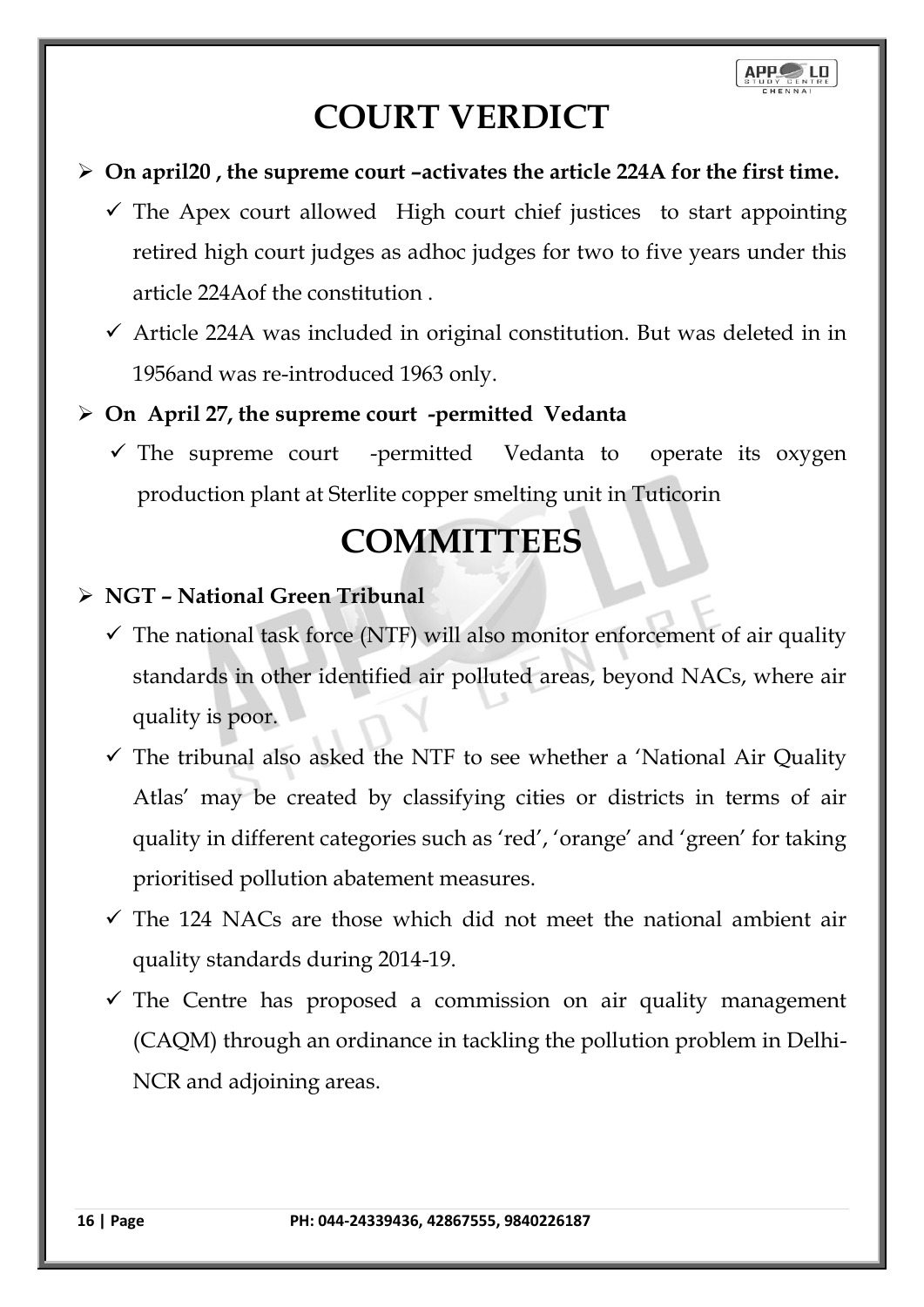## **COURT VERDICT**

- ➢ **On april20 , the supreme court –activates the article 224A for the first time.**
	- $\checkmark$  The Apex court allowed High court chief justices to start appointing retired high court judges as adhoc judges for two to five years under this article 224Aof the constitution .
	- $\checkmark$  Article 224A was included in original constitution. But was deleted in in 1956and was re-introduced 1963 only.

## ➢ **On April 27, the supreme court -permitted Vedanta**

 $\checkmark$  The supreme court -permitted Vedanta to operate its oxygen production plant at Sterlite copper smelting unit in Tuticorin

## **COMMITTEES**

## ➢ **NGT – National Green Tribunal**

- $\checkmark$  The national task force (NTF) will also monitor enforcement of air quality standards in other identified air polluted areas, beyond NACs, where air quality is poor.
- $\checkmark$  The tribunal also asked the NTF to see whether a 'National Air Quality Atlas' may be created by classifying cities or districts in terms of air quality in different categories such as 'red', 'orange' and 'green' for taking prioritised pollution abatement measures.
- $\checkmark$  The 124 NACs are those which did not meet the national ambient air quality standards during 2014-19.
- $\checkmark$  The Centre has proposed a commission on air quality management (CAQM) through an ordinance in tackling the pollution problem in Delhi-NCR and adjoining areas.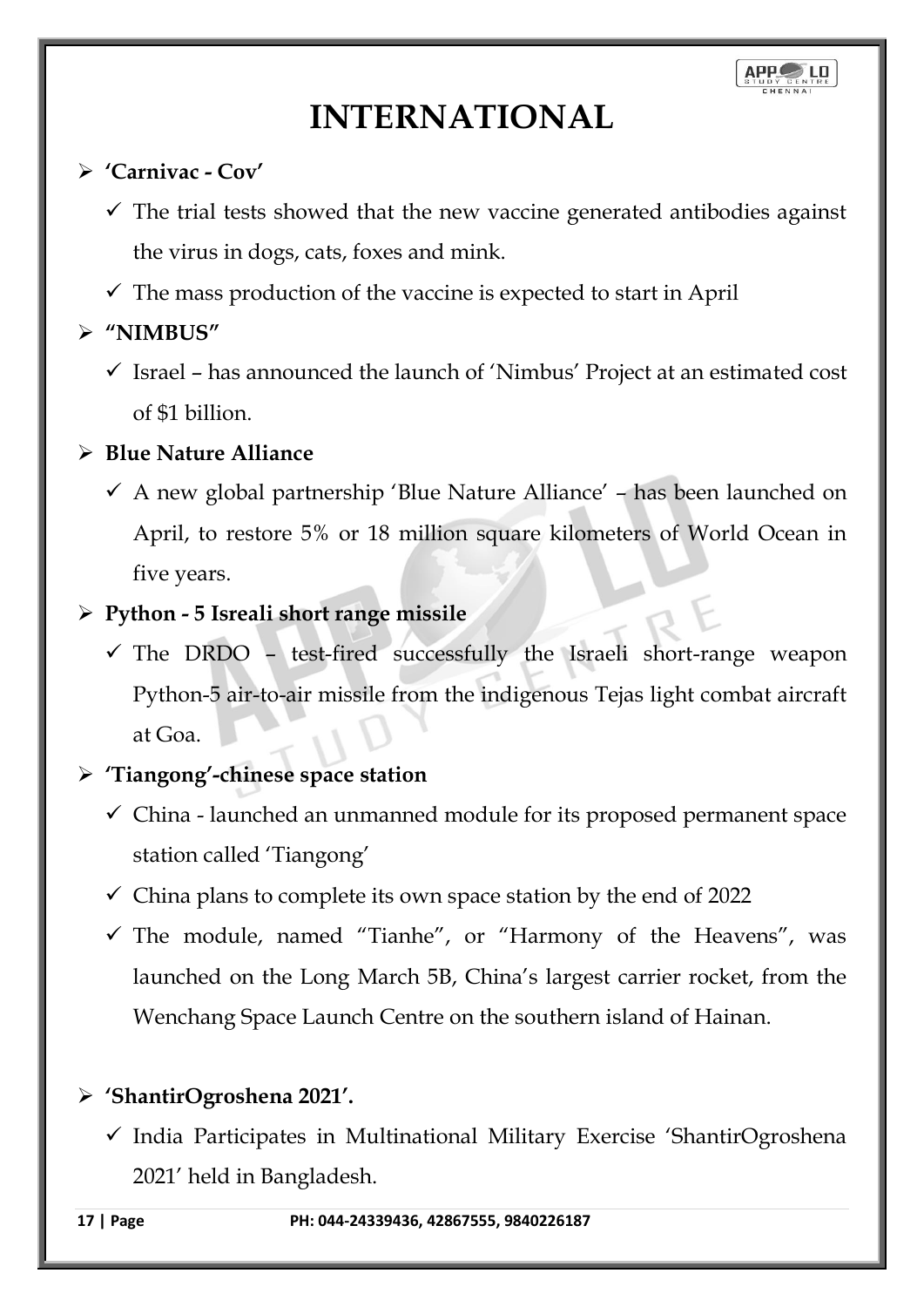## **INTERNATIONAL**

## ➢ **'Carnivac - Cov'**

- $\checkmark$  The trial tests showed that the new vaccine generated antibodies against the virus in dogs, cats, foxes and mink.
- $\checkmark$  The mass production of the vaccine is expected to start in April

## ➢ **"NIMBUS"**

 $\checkmark$  Israel – has announced the launch of 'Nimbus' Project at an estimated cost of \$1 billion.

## ➢ **Blue Nature Alliance**

 $\checkmark$  A new global partnership 'Blue Nature Alliance' – has been launched on April, to restore 5% or 18 million square kilometers of World Ocean in five years.

## ➢ **Python - 5 Isreali short range missile**

 $\checkmark$  The DRDO - test-fired successfully the Israeli short-range weapon Python-5 air-to-air missile from the indigenous Tejas light combat aircraft at Goa.

## ➢ **'Tiangong'-chinese space station**

- ✓ China launched an unmanned module for its proposed permanent space station called 'Tiangong'
- $\checkmark$  China plans to complete its own space station by the end of 2022
- ✓ The module, named "Tianhe", or "Harmony of the Heavens", was launched on the Long March 5B, China's largest carrier rocket, from the Wenchang Space Launch Centre on the southern island of Hainan.

## ➢ **'ShantirOgroshena 2021'.**

✓ India Participates in Multinational Military Exercise 'ShantirOgroshena 2021' held in Bangladesh.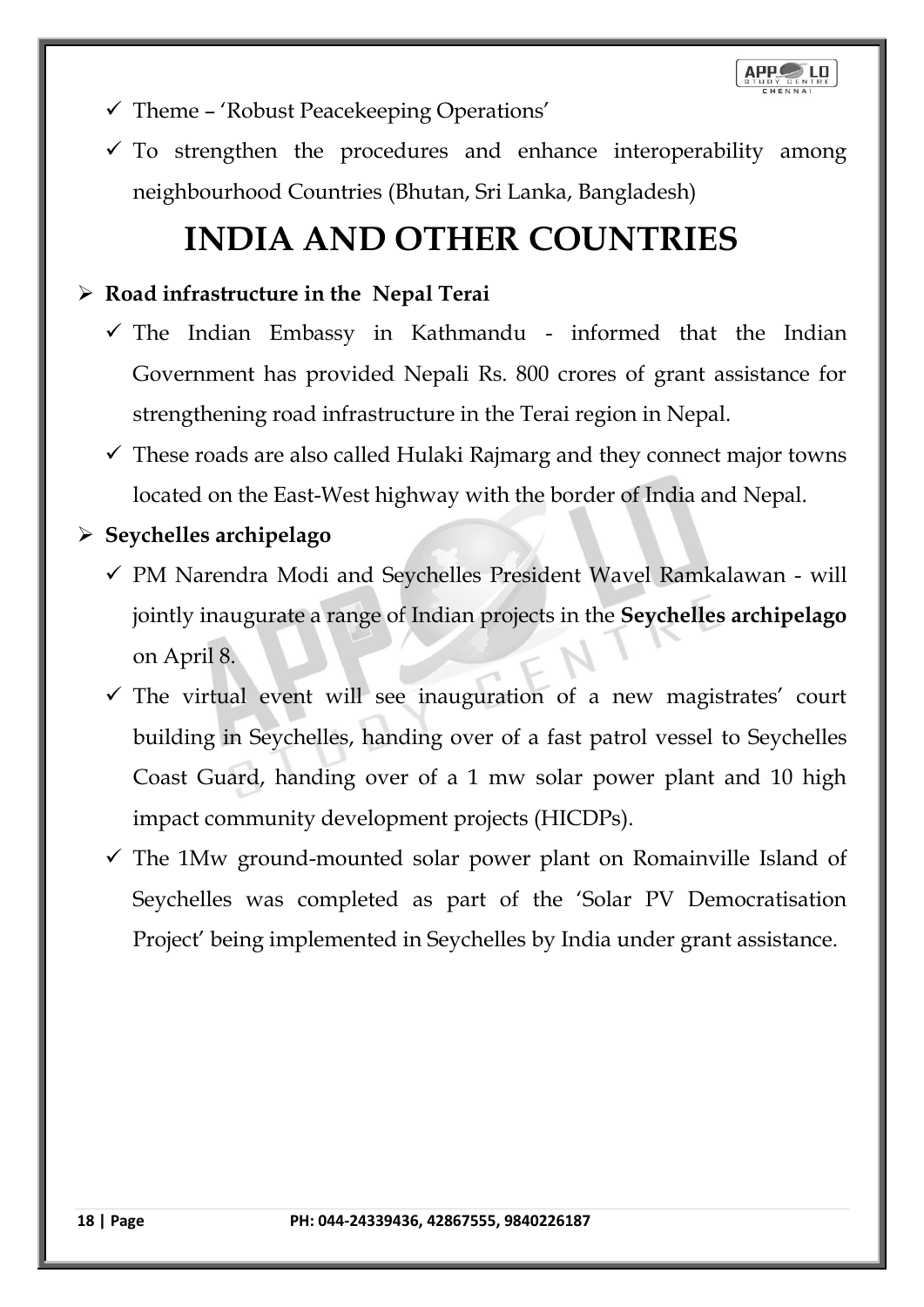**APP** 

- $\checkmark$  Theme 'Robust Peacekeeping Operations'
- $\checkmark$  To strengthen the procedures and enhance interoperability among neighbourhood Countries (Bhutan, Sri Lanka, Bangladesh)

## **INDIA AND OTHER COUNTRIES**

## ➢ **Road infrastructure in the Nepal Terai**

- $\checkmark$  The Indian Embassy in Kathmandu informed that the Indian Government has provided Nepali Rs. 800 crores of grant assistance for strengthening road infrastructure in the Terai region in Nepal.
- $\checkmark$  These roads are also called Hulaki Rajmarg and they connect major towns located on the East-West highway with the border of India and Nepal.

## ➢ **Seychelles archipelago**

- ✓ PM Narendra Modi and Seychelles President Wavel Ramkalawan will jointly inaugurate a range of Indian projects in the **Seychelles archipelago** on April 8.
- $\checkmark$  The virtual event will see inauguration of a new magistrates' court building in Seychelles, handing over of a fast patrol vessel to Seychelles Coast Guard, handing over of a 1 mw solar power plant and 10 high impact community development projects (HICDPs).
- $\checkmark$  The 1Mw ground-mounted solar power plant on Romainville Island of Seychelles was completed as part of the 'Solar PV Democratisation Project' being implemented in Seychelles by India under grant assistance.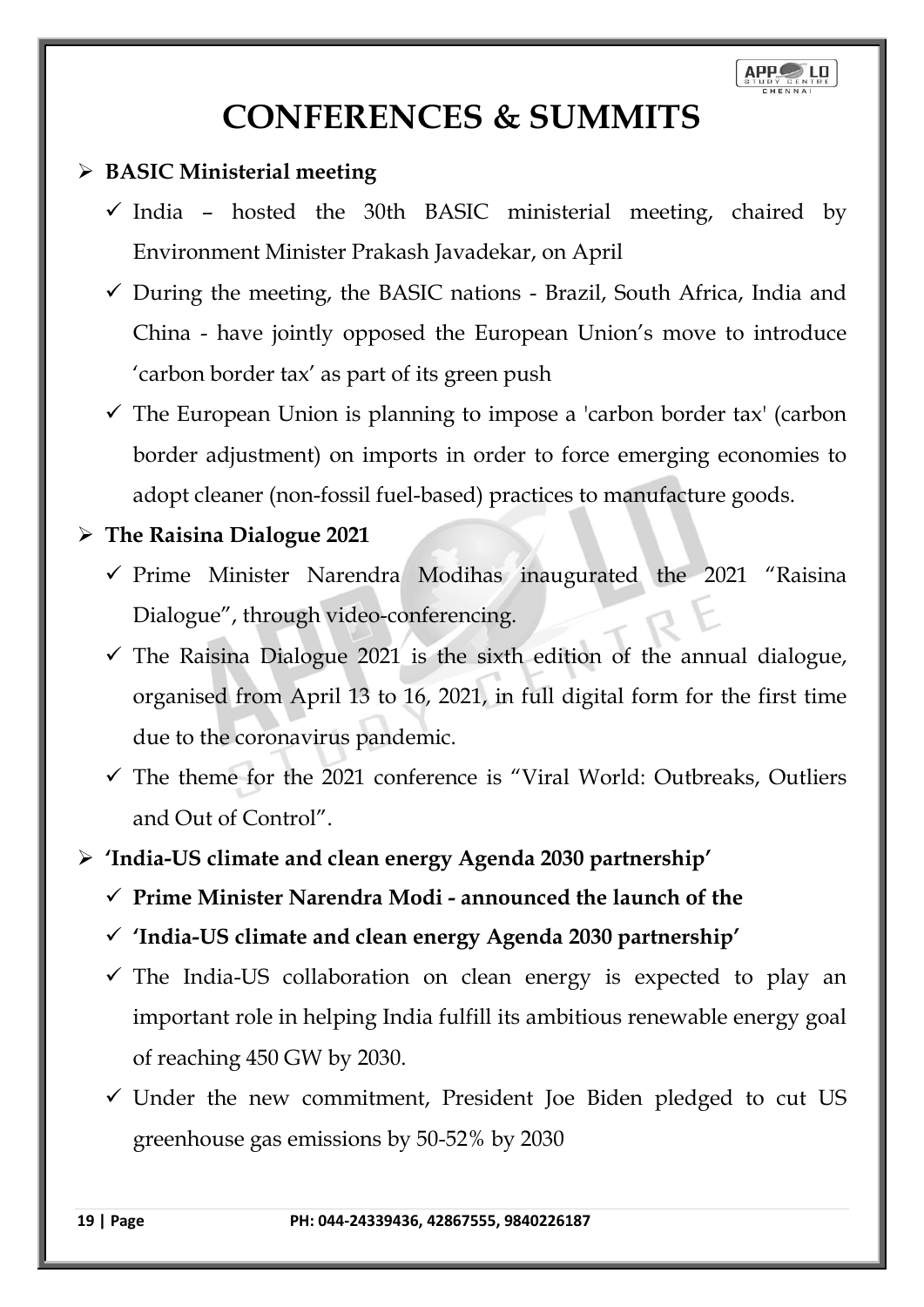

## **CONFERENCES & SUMMITS**

### ➢ **BASIC Ministerial meeting**

- $\checkmark$  India hosted the 30th BASIC ministerial meeting, chaired by Environment Minister Prakash Javadekar, on April
- $\checkmark$  During the meeting, the BASIC nations Brazil, South Africa, India and China - have jointly opposed the European Union's move to introduce 'carbon border tax' as part of its green push
- $\checkmark$  The European Union is planning to impose a 'carbon border tax' (carbon border adjustment) on imports in order to force emerging economies to adopt cleaner (non-fossil fuel-based) practices to manufacture goods.

#### ➢ **The Raisina Dialogue 2021**

- ✓ Prime Minister Narendra Modihas inaugurated the 2021 "Raisina Dialogue", through video-conferencing.
- $\checkmark$  The Raisina Dialogue 2021 is the sixth edition of the annual dialogue, organised from April 13 to 16, 2021, in full digital form for the first time due to the coronavirus pandemic.
- $\checkmark$  The theme for the 2021 conference is "Viral World: Outbreaks, Outliers and Out of Control".

#### ➢ **'India-US climate and clean energy Agenda 2030 partnership'**

- ✓ **Prime Minister Narendra Modi - announced the launch of the**
- ✓ **'India-US climate and clean energy Agenda 2030 partnership'**
- $\checkmark$  The India-US collaboration on clean energy is expected to play an important role in helping India fulfill its ambitious renewable energy goal of reaching 450 GW by 2030.
- $\checkmark$  Under the new commitment, President Joe Biden pledged to cut US greenhouse gas emissions by 50-52% by 2030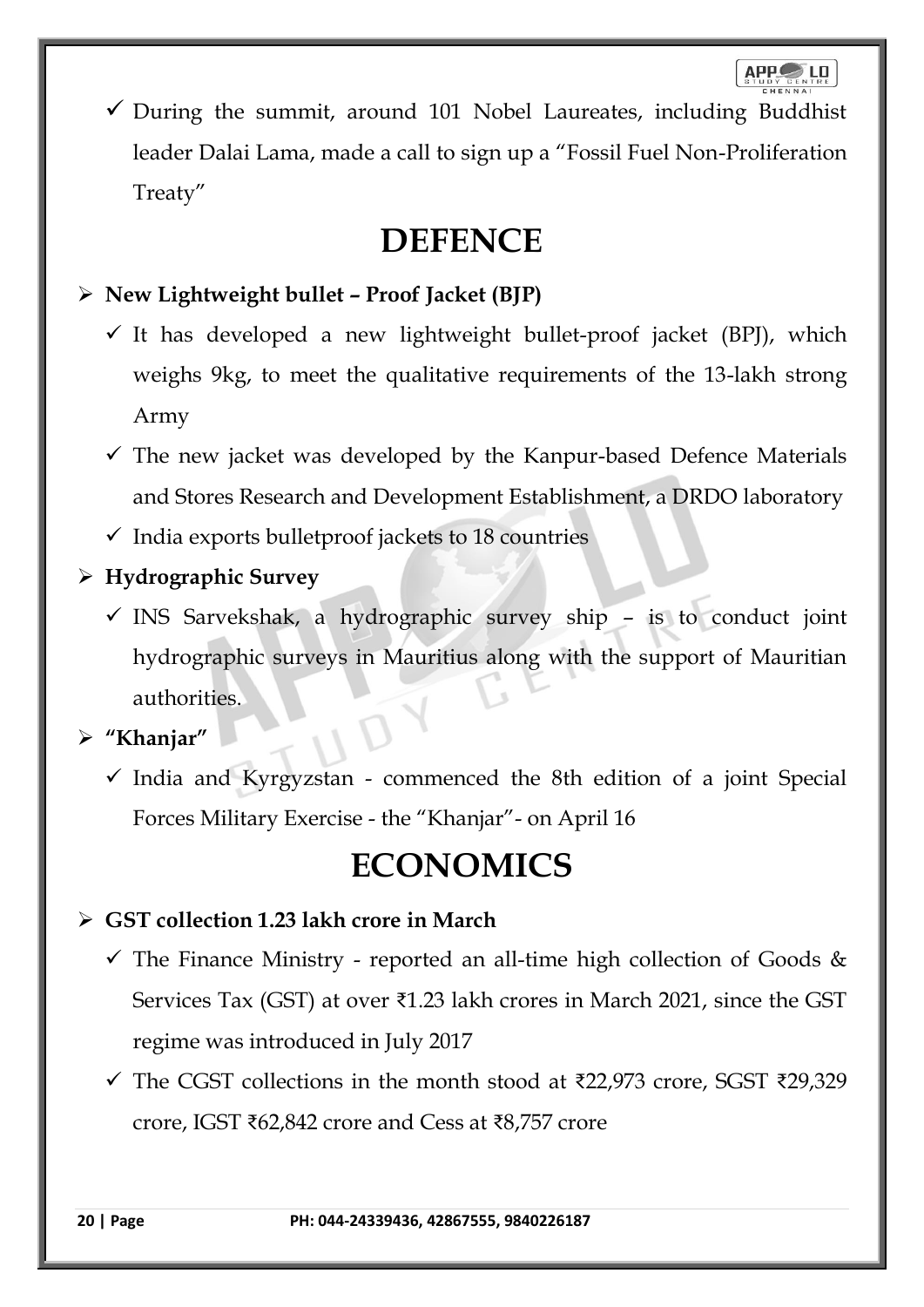$\checkmark$  During the summit, around 101 Nobel Laureates, including Buddhist leader Dalai Lama, made a call to sign up a "Fossil Fuel Non-Proliferation Treaty"

## **DEFENCE**

## ➢ **New Lightweight bullet – Proof Jacket (BJP)**

- $\checkmark$  It has developed a new lightweight bullet-proof jacket (BPJ), which weighs 9kg, to meet the qualitative requirements of the 13-lakh strong Army
- $\checkmark$  The new jacket was developed by the Kanpur-based Defence Materials and Stores Research and Development Establishment, a DRDO laboratory
- $\checkmark$  India exports bulletproof jackets to 18 countries

## ➢ **Hydrographic Survey**

 $\checkmark$  INS Sarvekshak, a hydrographic survey ship - is to conduct joint hydrographic surveys in Mauritius along with the support of Mauritian authorities.

➢ **"Khanjar"**

 $\checkmark$  India and Kyrgyzstan - commenced the 8th edition of a joint Special Forces Military Exercise - the "Khanjar"- on April 16

## **ECONOMICS**

## ➢ **GST collection 1.23 lakh crore in March**

- $\checkmark$  The Finance Ministry reported an all-time high collection of Goods & Services Tax (GST) at over ₹1.23 lakh crores in March 2021, since the GST regime was introduced in July 2017
- $\checkmark$  The CGST collections in the month stood at ₹22,973 crore, SGST ₹29,329 crore, IGST ₹62,842 crore and Cess at ₹8,757 crore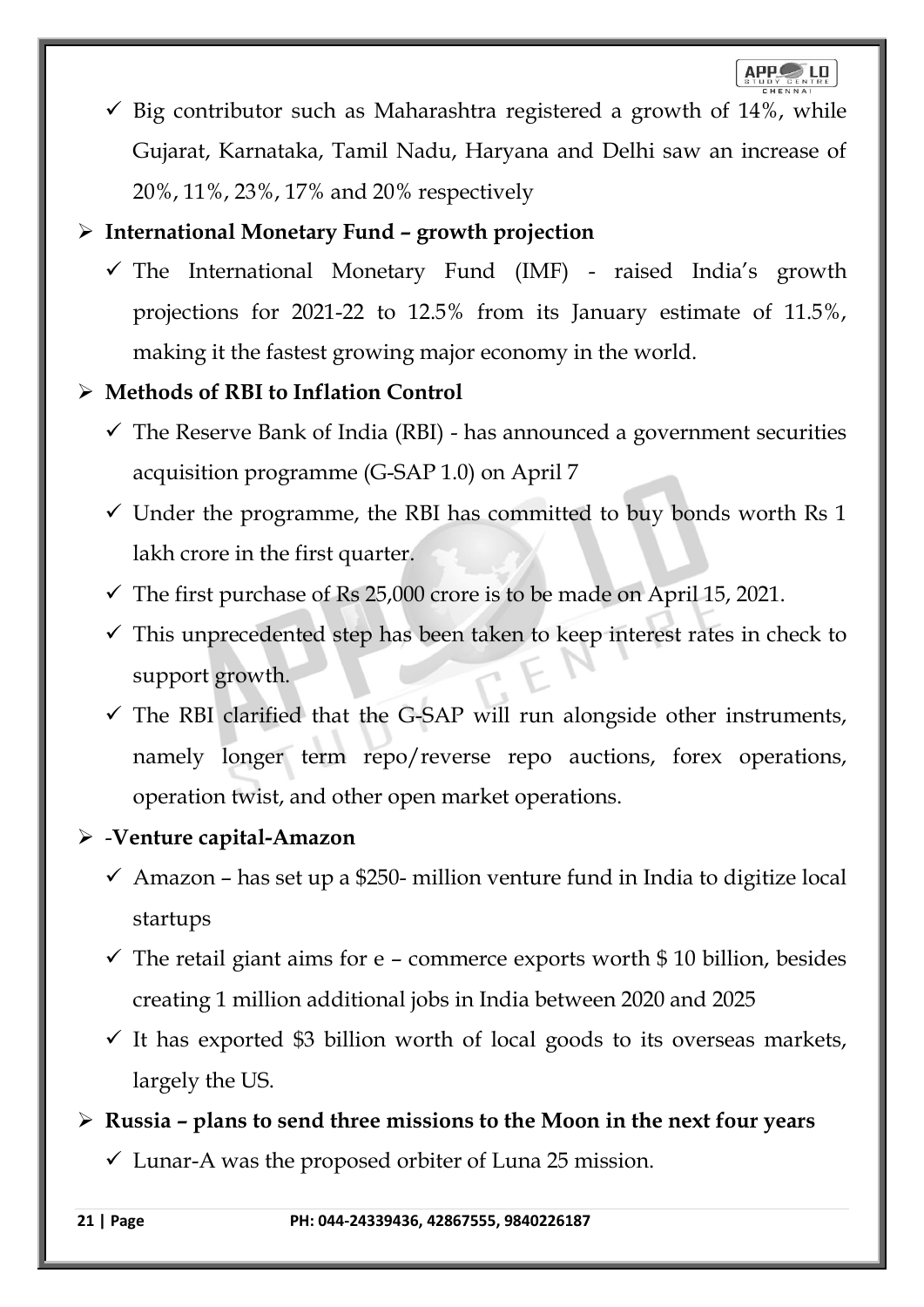

 $\checkmark$  Big contributor such as Maharashtra registered a growth of 14%, while Gujarat, Karnataka, Tamil Nadu, Haryana and Delhi saw an increase of 20%, 11%, 23%, 17% and 20% respectively

## ➢ **International Monetary Fund – growth projection**

✓ The International Monetary Fund (IMF) - raised India's growth projections for 2021-22 to 12.5% from its January estimate of 11.5%, making it the fastest growing major economy in the world.

#### ➢ **Methods of RBI to Inflation Control**

- $\checkmark$  The Reserve Bank of India (RBI) has announced a government securities acquisition programme (G-SAP 1.0) on April 7
- $\checkmark$  Under the programme, the RBI has committed to buy bonds worth Rs 1 lakh crore in the first quarter.
- $\checkmark$  The first purchase of Rs 25,000 crore is to be made on April 15, 2021.
- $\checkmark$  This unprecedented step has been taken to keep interest rates in check to support growth.
- $\checkmark$  The RBI clarified that the G-SAP will run alongside other instruments, namely longer term repo/reverse repo auctions, forex operations, operation twist, and other open market operations.

#### ➢ -**Venture capital-Amazon**

- $\checkmark$  Amazon has set up a \$250- million venture fund in India to digitize local startups
- $\checkmark$  The retail giant aims for e commerce exports worth \$ 10 billion, besides creating 1 million additional jobs in India between 2020 and 2025
- $\checkmark$  It has exported \$3 billion worth of local goods to its overseas markets, largely the US.

➢ **Russia – plans to send three missions to the Moon in the next four years**

 $\checkmark$  Lunar-A was the proposed orbiter of Luna 25 mission.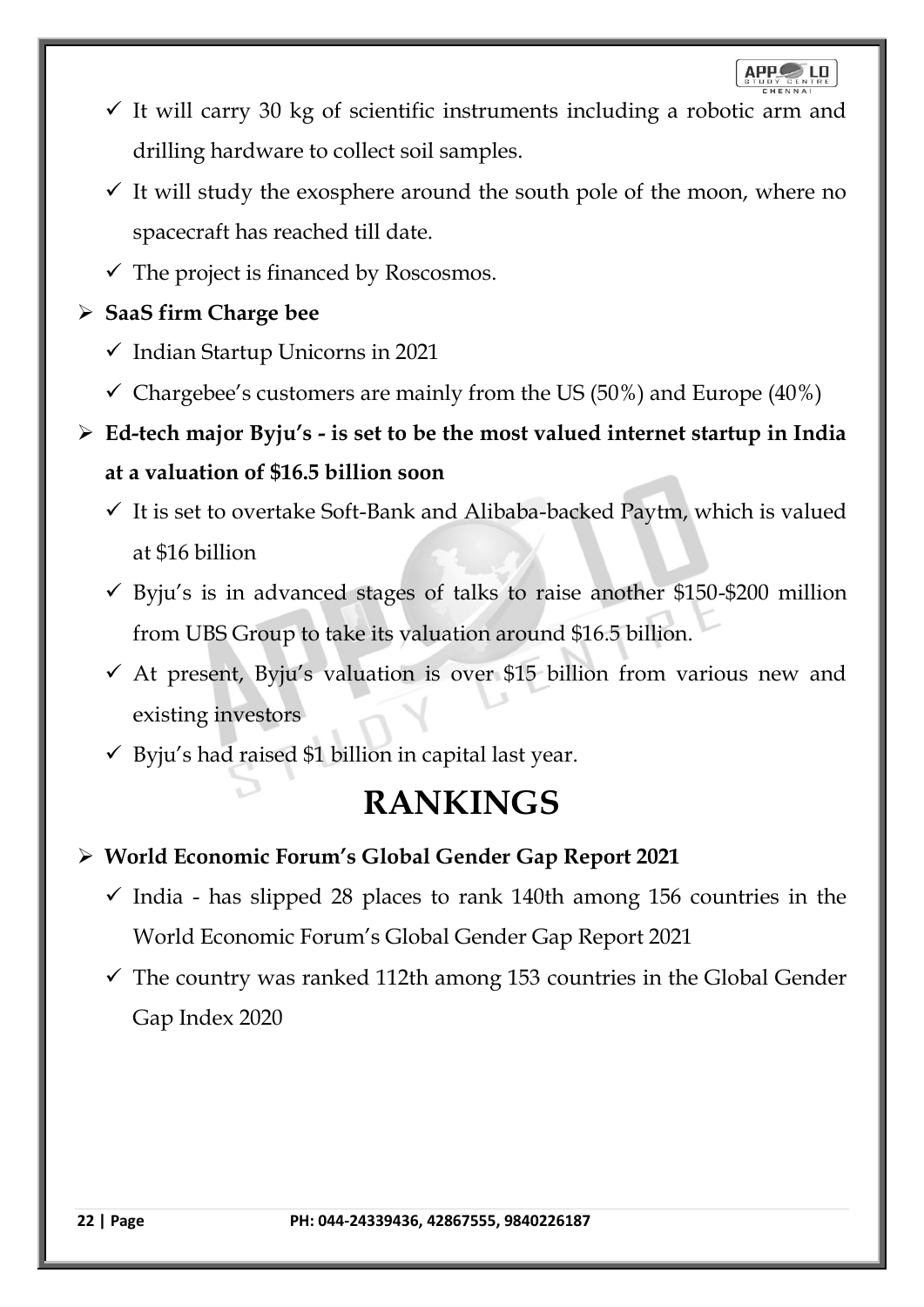- $\checkmark$  It will carry 30 kg of scientific instruments including a robotic arm and drilling hardware to collect soil samples.
- $\checkmark$  It will study the exosphere around the south pole of the moon, where no spacecraft has reached till date.
- $\checkmark$  The project is financed by Roscosmos.

## ➢ **SaaS firm Charge bee**

- ✓ Indian Startup Unicorns in 2021
- $\checkmark$  Chargebee's customers are mainly from the US (50%) and Europe (40%)
- ➢ **Ed-tech major Byju's - is set to be the most valued internet startup in India at a valuation of \$16.5 billion soon**
	- $\checkmark$  It is set to overtake Soft-Bank and Alibaba-backed Paytm, which is valued at \$16 billion
	- $\checkmark$  Byju's is in advanced stages of talks to raise another \$150-\$200 million from UBS Group to take its valuation around \$16.5 billion.
	- $\checkmark$  At present, Byju's valuation is over \$15 billion from various new and existing investors
	- $\checkmark$  Byju's had raised \$1 billion in capital last year.

## **RANKINGS**

- ➢ **World Economic Forum's Global Gender Gap Report 2021**
	- $\checkmark$  India has slipped 28 places to rank 140th among 156 countries in the World Economic Forum's Global Gender Gap Report 2021
	- $\checkmark$  The country was ranked 112th among 153 countries in the Global Gender Gap Index 2020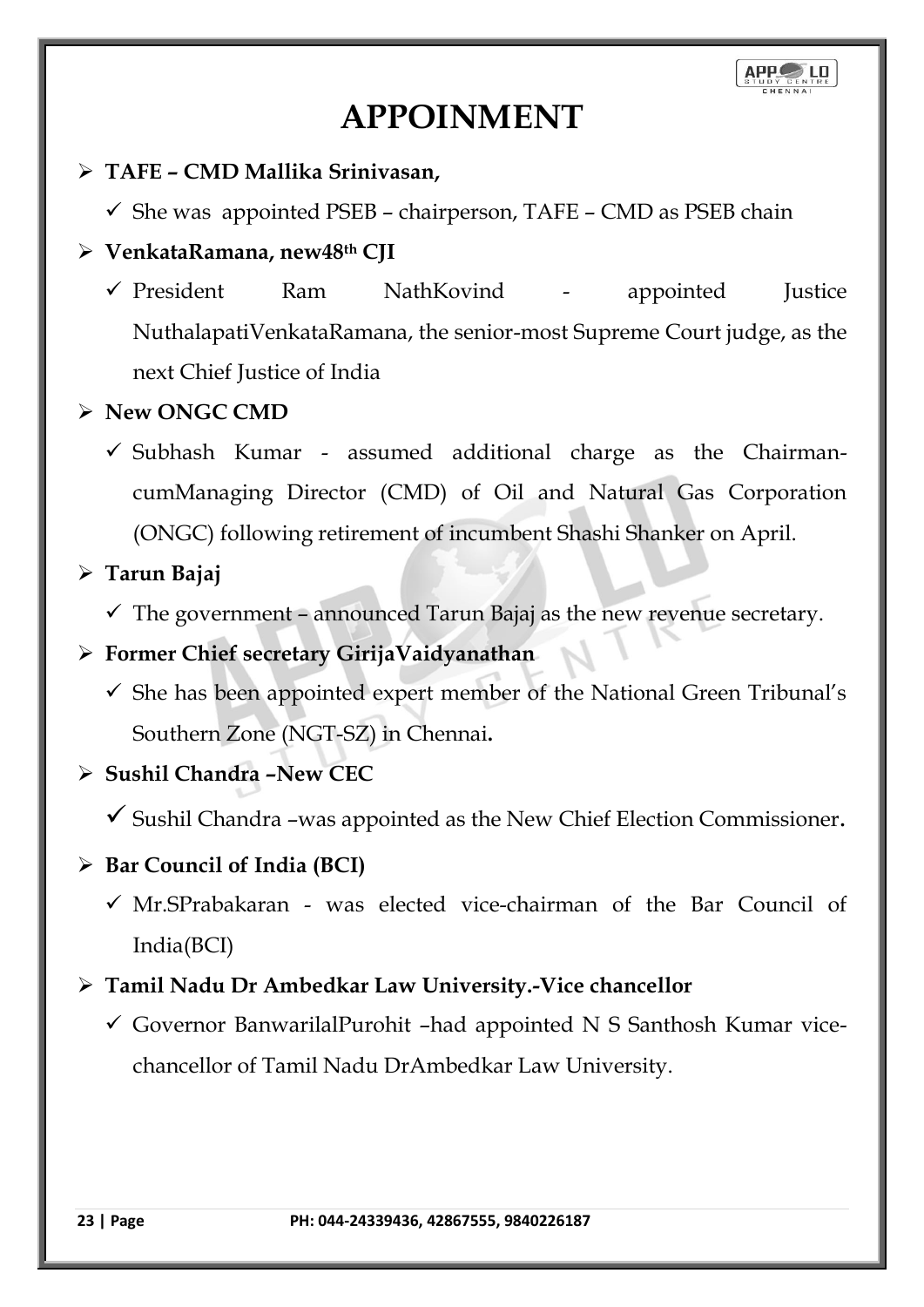## **APPOINMENT**

## ➢ **TAFE – CMD Mallika Srinivasan,**

 $\checkmark$  She was appointed PSEB – chairperson, TAFE – CMD as PSEB chain

## ➢ **VenkataRamana, new48th CJI**

✓ President Ram NathKovind - appointed Justice NuthalapatiVenkataRamana, the senior-most Supreme Court judge, as the next Chief Justice of India

## ➢ **New ONGC CMD**

 $\checkmark$  Subhash Kumar - assumed additional charge as the ChairmancumManaging Director (CMD) of Oil and Natural Gas Corporation (ONGC) following retirement of incumbent Shashi Shanker on April.

## ➢ **Tarun Bajaj**

 $\checkmark$  The government – announced Tarun Bajaj as the new revenue secretary.

## ➢ **Former Chief secretary GirijaVaidyanathan**

 $\checkmark$  She has been appointed expert member of the National Green Tribunal's Southern Zone (NGT-SZ) in Chennai**.**

## ➢ **Sushil Chandra –New CEC**

 $\checkmark$  Sushil Chandra –was appointed as the New Chief Election Commissioner.

## ➢ **Bar Council of India (BCI)**

 $\checkmark$  Mr.SPrabakaran - was elected vice-chairman of the Bar Council of India(BCI)

## ➢ **Tamil Nadu Dr Ambedkar Law University.-Vice chancellor**

 $\checkmark$  Governor BanwarilalPurohit –had appointed N S Santhosh Kumar vicechancellor of Tamil Nadu DrAmbedkar Law University.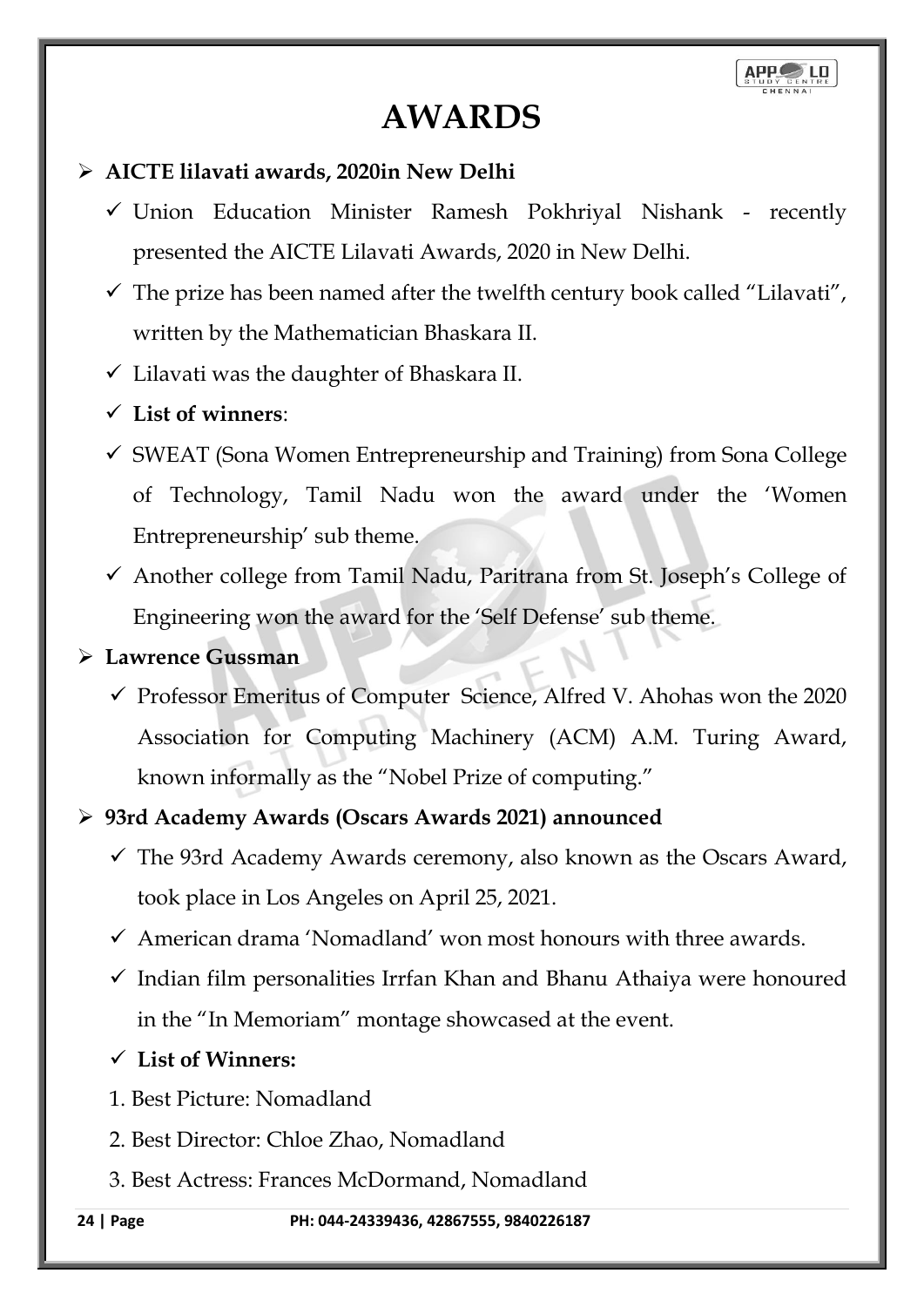## **AWARDS**

## ➢ **AICTE lilavati awards, 2020in New Delhi**

- $\checkmark$  Union Education Minister Ramesh Pokhriyal Nishank recently presented the AICTE Lilavati Awards, 2020 in New Delhi.
- $\checkmark$  The prize has been named after the twelfth century book called "Lilavati", written by the Mathematician Bhaskara II.
- ✓ Lilavati was the daughter of Bhaskara II.

## ✓ **List of winners**:

- $\checkmark$  SWEAT (Sona Women Entrepreneurship and Training) from Sona College of Technology, Tamil Nadu won the award under the 'Women Entrepreneurship' sub theme.
- ✓ Another college from Tamil Nadu, Paritrana from St. Joseph's College of Engineering won the award for the 'Self Defense' sub theme.

## ➢ **Lawrence Gussman**

✓ Professor Emeritus of Computer Science, Alfred V. Ahohas won the 2020 Association for Computing Machinery (ACM) A.M. Turing Award, known informally as the "Nobel Prize of computing."

## ➢ **93rd Academy Awards (Oscars Awards 2021) announced**

- $\checkmark$  The 93rd Academy Awards ceremony, also known as the Oscars Award, took place in Los Angeles on April 25, 2021.
- $\checkmark$  American drama 'Nomadland' won most honours with three awards.
- $\checkmark$  Indian film personalities Irrfan Khan and Bhanu Athaiya were honoured in the "In Memoriam" montage showcased at the event.
- ✓ **List of Winners:**
- 1. Best Picture: Nomadland
- 2. Best Director: Chloe Zhao, Nomadland
- 3. Best Actress: Frances McDormand, Nomadland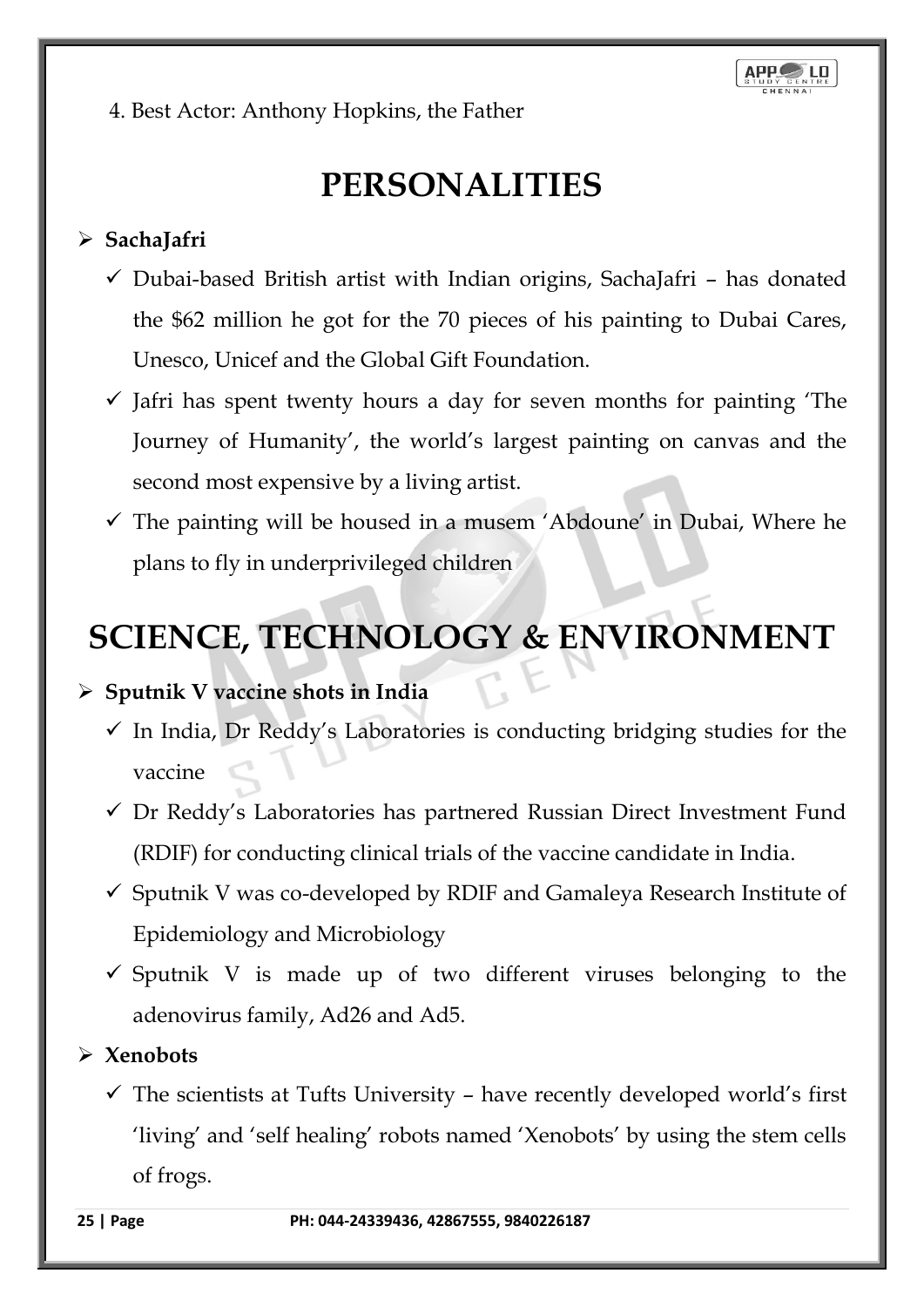4. Best Actor: Anthony Hopkins, the Father

## **PERSONALITIES**

## ➢ **SachaJafri**

- $\checkmark$  Dubai-based British artist with Indian origins, SachaJafri has donated the \$62 million he got for the 70 pieces of his painting to Dubai Cares, Unesco, Unicef and the Global Gift Foundation.
- $\checkmark$  Jafri has spent twenty hours a day for seven months for painting The Journey of Humanity', the world's largest painting on canvas and the second most expensive by a living artist.
- $\checkmark$  The painting will be housed in a musem 'Abdoune' in Dubai, Where he plans to fly in underprivileged children

# **SCIENCE, TECHNOLOGY & ENVIRONMENT**

## ➢ **Sputnik V vaccine shots in India**

- $\checkmark$  In India, Dr Reddy's Laboratories is conducting bridging studies for the vaccine
- ✓ Dr Reddy's Laboratories has partnered Russian Direct Investment Fund (RDIF) for conducting clinical trials of the vaccine candidate in India.
- $\checkmark$  Sputnik V was co-developed by RDIF and Gamaleya Research Institute of Epidemiology and Microbiology
- $\checkmark$  Sputnik V is made up of two different viruses belonging to the adenovirus family, Ad26 and Ad5.

## ➢ **Xenobots**

 $\checkmark$  The scientists at Tufts University – have recently developed world's first 'living' and 'self healing' robots named 'Xenobots' by using the stem cells of frogs.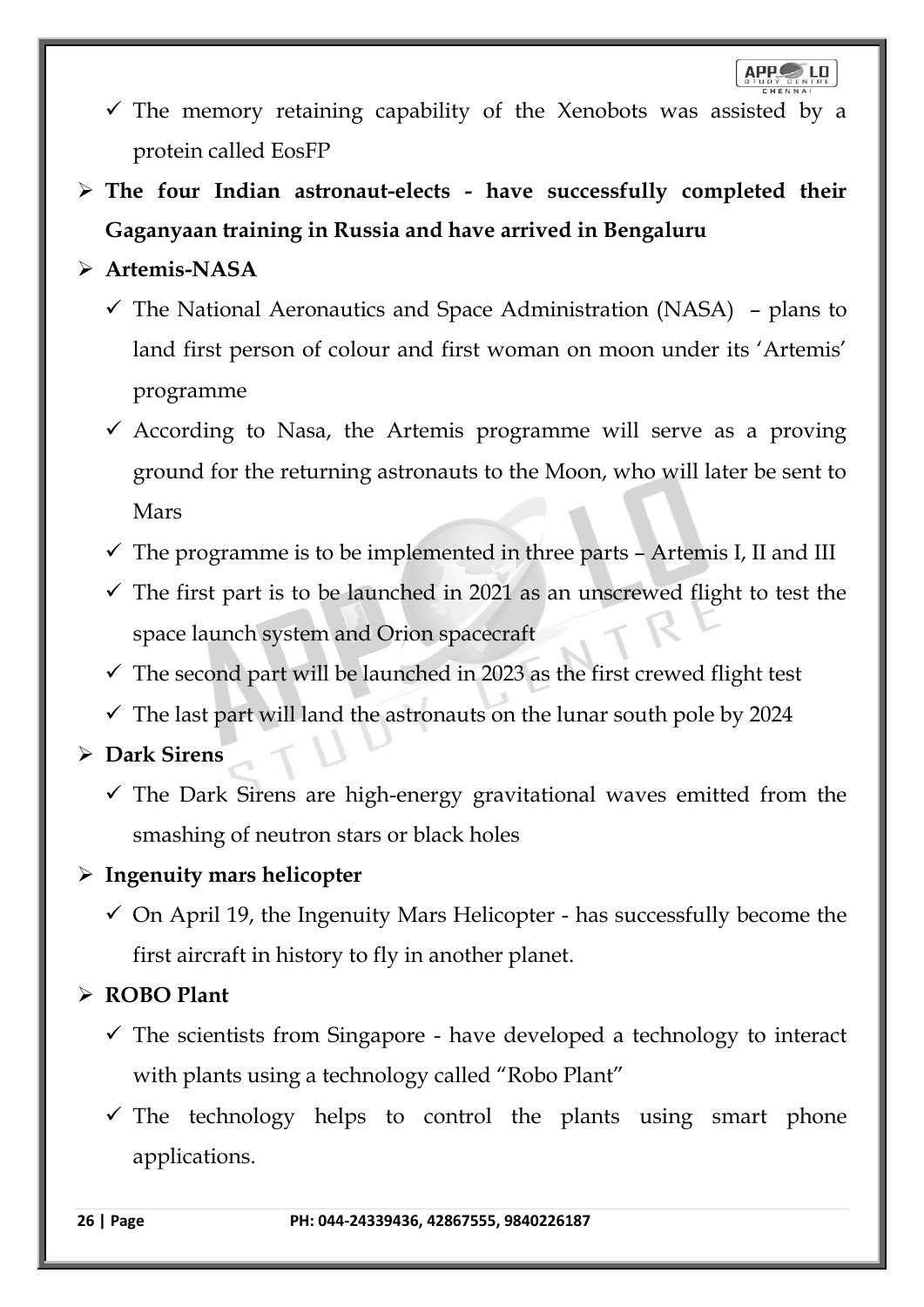- $\checkmark$  The memory retaining capability of the Xenobots was assisted by a protein called EosFP
- ➢ **The four Indian astronaut-elects - have successfully completed their Gaganyaan training in Russia and have arrived in Bengaluru**

## ➢ **Artemis-NASA**

- $\checkmark$  The National Aeronautics and Space Administration (NASA) plans to land first person of colour and first woman on moon under its 'Artemis' programme
- $\checkmark$  According to Nasa, the Artemis programme will serve as a proving ground for the returning astronauts to the Moon, who will later be sent to Mars
- $\checkmark$  The programme is to be implemented in three parts Artemis I, II and III
- $\checkmark$  The first part is to be launched in 2021 as an unscrewed flight to test the space launch system and Orion spacecraft
- $\checkmark$  The second part will be launched in 2023 as the first crewed flight test
- $\checkmark$  The last part will land the astronauts on the lunar south pole by 2024

## ➢ **Dark Sirens**

 $\checkmark$  The Dark Sirens are high-energy gravitational waves emitted from the smashing of neutron stars or black holes

## ➢ **Ingenuity mars helicopter**

 $\checkmark$  On April 19, the Ingenuity Mars Helicopter - has successfully become the first aircraft in history to fly in another planet.

## ➢ **ROBO Plant**

- $\checkmark$  The scientists from Singapore have developed a technology to interact with plants using a technology called "Robo Plant"
- $\checkmark$  The technology helps to control the plants using smart phone applications.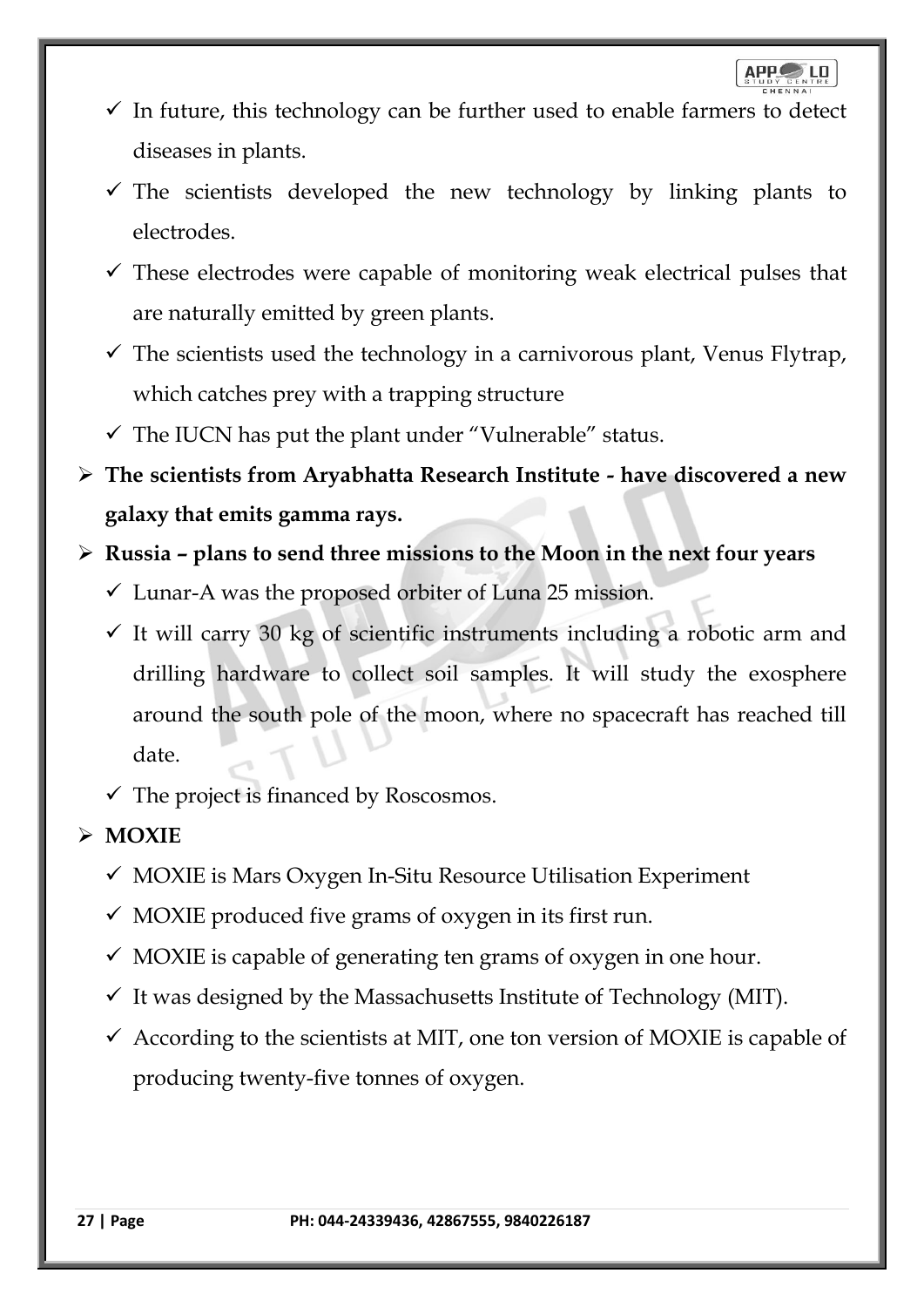- $\checkmark$  In future, this technology can be further used to enable farmers to detect diseases in plants.
- $\checkmark$  The scientists developed the new technology by linking plants to electrodes.
- $\checkmark$  These electrodes were capable of monitoring weak electrical pulses that are naturally emitted by green plants.
- $\checkmark$  The scientists used the technology in a carnivorous plant, Venus Flytrap, which catches prey with a trapping structure
- $\checkmark$  The IUCN has put the plant under "Vulnerable" status.
- ➢ **The scientists from Aryabhatta Research Institute - have discovered a new galaxy that emits gamma rays.**
- ➢ **Russia – plans to send three missions to the Moon in the next four years**
	- $\checkmark$  Lunar-A was the proposed orbiter of Luna 25 mission.
	- $\checkmark$  It will carry 30 kg of scientific instruments including a robotic arm and drilling hardware to collect soil samples. It will study the exosphere around the south pole of the moon, where no spacecraft has reached till date.
	- $\checkmark$  The project is financed by Roscosmos.

## ➢ **MOXIE**

- $\checkmark$  MOXIE is Mars Oxygen In-Situ Resource Utilisation Experiment
- $\checkmark$  MOXIE produced five grams of oxygen in its first run.
- $\checkmark$  MOXIE is capable of generating ten grams of oxygen in one hour.
- $\checkmark$  It was designed by the Massachusetts Institute of Technology (MIT).
- $\checkmark$  According to the scientists at MIT, one ton version of MOXIE is capable of producing twenty-five tonnes of oxygen.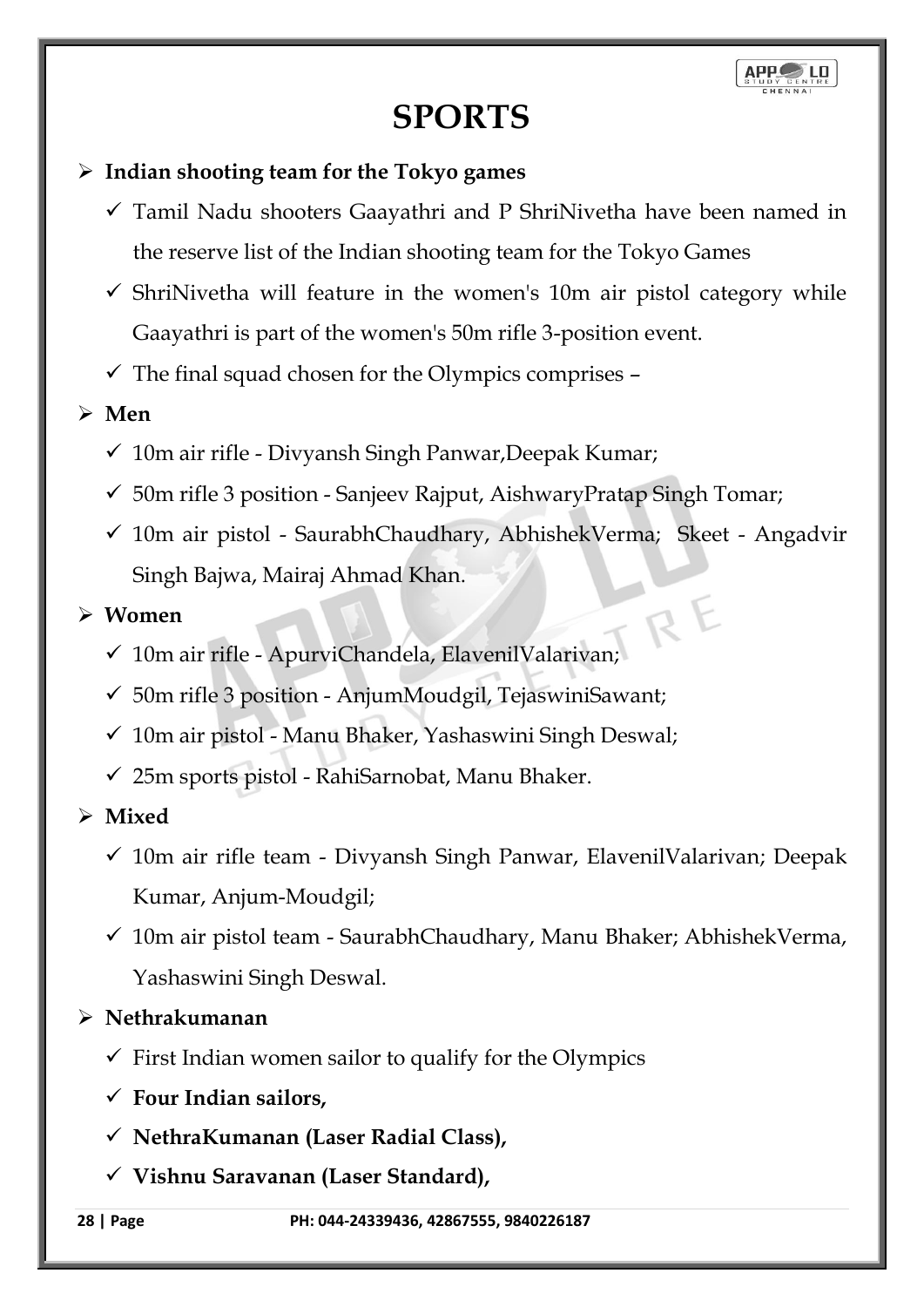## **SPORTS**

## ➢ **Indian shooting team for the Tokyo games**

- $\checkmark$  Tamil Nadu shooters Gaayathri and P ShriNivetha have been named in the reserve list of the Indian shooting team for the Tokyo Games
- $\checkmark$  ShriNivetha will feature in the women's 10m air pistol category while Gaayathri is part of the women's 50m rifle 3-position event.
- $\checkmark$  The final squad chosen for the Olympics comprises –
- ➢ **Men** 
	- $\checkmark$  10m air rifle Divyansh Singh Panwar, Deepak Kumar;
	- $\checkmark$  50m rifle 3 position Sanjeev Rajput, AishwaryPratap Singh Tomar;
	- ✓ 10m air pistol SaurabhChaudhary, AbhishekVerma; Skeet Angadvir Singh Bajwa, Mairaj Ahmad Khan. RE

#### ➢ **Women**

- ✓ 10m air rifle ApurviChandela, ElavenilValarivan;
- $\checkmark$  50m rifle 3 position AnjumMoudgil, TejaswiniSawant;
- $\checkmark$  10m air pistol Manu Bhaker, Yashaswini Singh Deswal;
- $\checkmark$  25m sports pistol RahiSarnobat, Manu Bhaker.

➢ **Mixed** 

- $\checkmark$  10m air rifle team Divyansh Singh Panwar, ElavenilValarivan; Deepak Kumar, Anjum-Moudgil;
- $\checkmark$  10m air pistol team SaurabhChaudhary, Manu Bhaker; AbhishekVerma, Yashaswini Singh Deswal.
- ➢ **Nethrakumanan**
	- $\checkmark$  First Indian women sailor to qualify for the Olympics
	- ✓ **Four Indian sailors,**
	- ✓ **NethraKumanan (Laser Radial Class),**
	- ✓ **Vishnu Saravanan (Laser Standard),**

**28 | Page PH: 044-24339436, 42867555, 9840226187**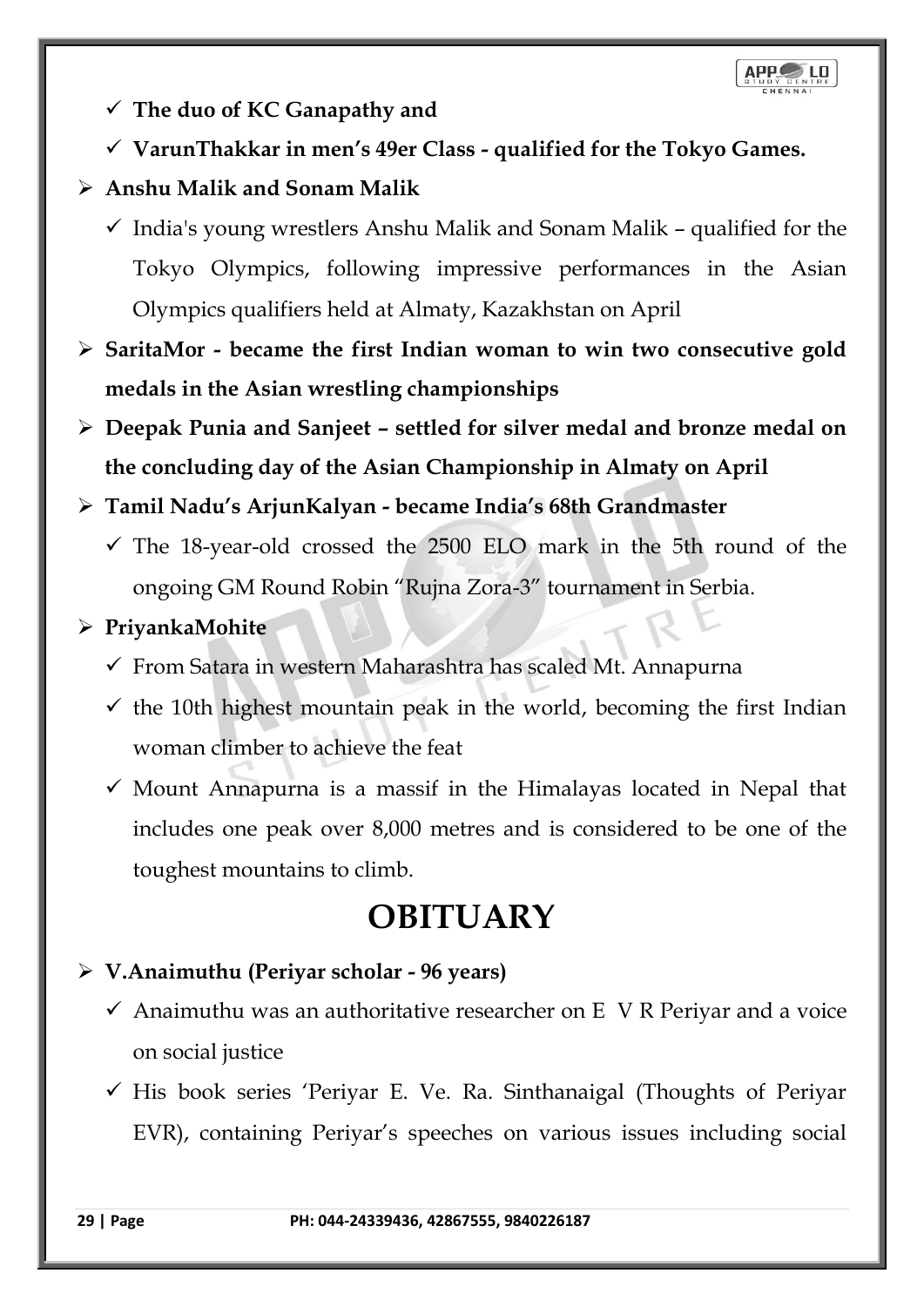- ✓ **The duo of KC Ganapathy and**
- ✓ **VarunThakkar in men's 49er Class - qualified for the Tokyo Games.**

## ➢ **Anshu Malik and Sonam Malik**

- $\checkmark$  India's young wrestlers Anshu Malik and Sonam Malik qualified for the Tokyo Olympics, following impressive performances in the Asian Olympics qualifiers held at Almaty, Kazakhstan on April
- ➢ **SaritaMor - became the first Indian woman to win two consecutive gold medals in the Asian wrestling championships**
- ➢ **Deepak Punia and Sanjeet – settled for silver medal and bronze medal on the concluding day of the Asian Championship in Almaty on April**

## ➢ **Tamil Nadu's ArjunKalyan - became India's 68th Grandmaster**

 $\checkmark$  The 18-year-old crossed the 2500 ELO mark in the 5th round of the ongoing GM Round Robin "Rujna Zora-3" tournament in Serbia.

## ➢ **PriyankaMohite**

- ✓ From Satara in western Maharashtra has scaled Mt. Annapurna
- $\checkmark$  the 10th highest mountain peak in the world, becoming the first Indian woman climber to achieve the feat
- $\checkmark$  Mount Annapurna is a massif in the Himalayas located in Nepal that includes one peak over 8,000 metres and is considered to be one of the toughest mountains to climb.

## **OBITUARY**

## ➢ **V.Anaimuthu (Periyar scholar - 96 years)**

- $\checkmark$  Anaimuthu was an authoritative researcher on E V R Periyar and a voice on social justice
- $\checkmark$  His book series 'Periyar E. Ve. Ra. Sinthanaigal (Thoughts of Periyar EVR), containing Periyar's speeches on various issues including social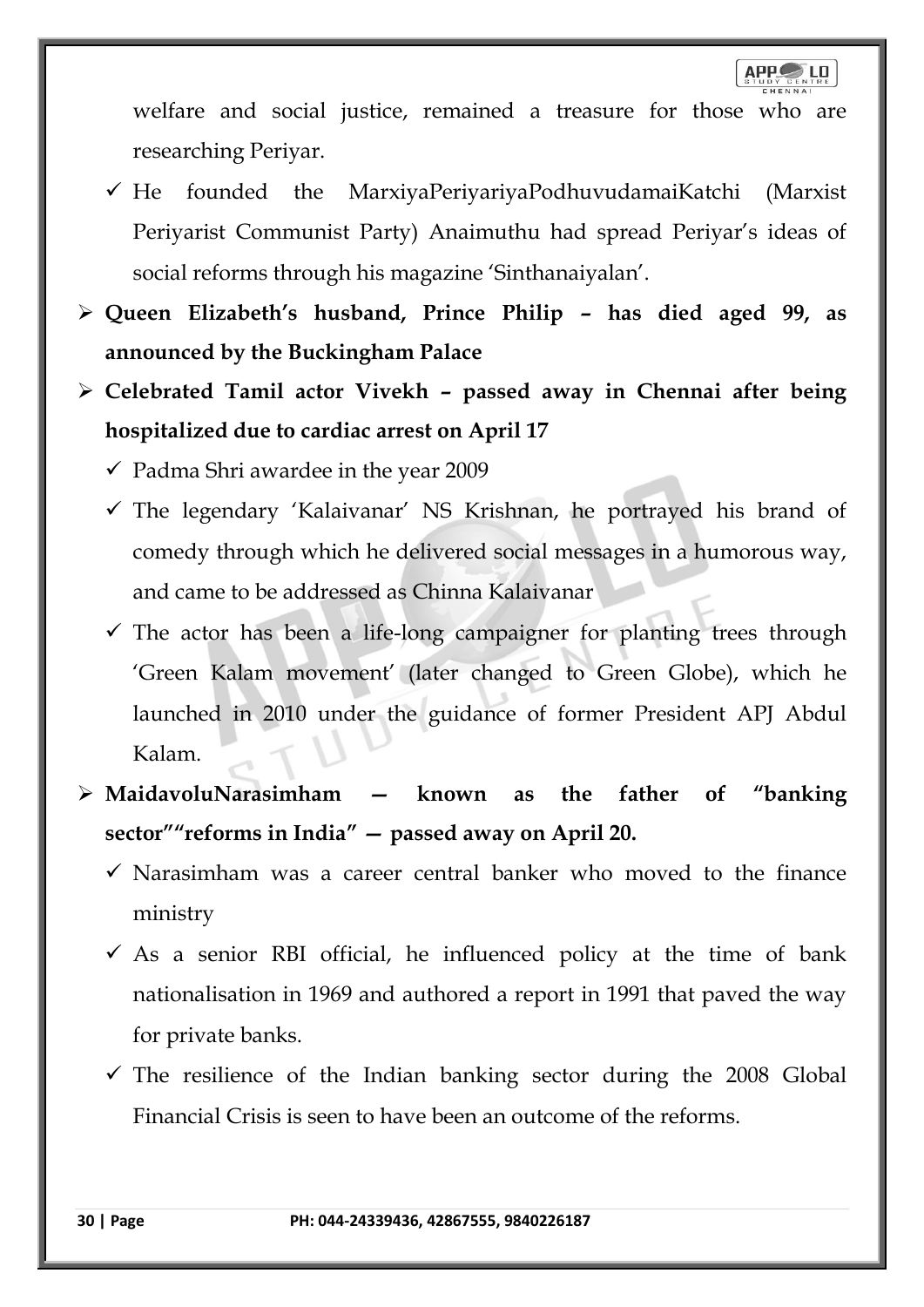welfare and social justice, remained a treasure for those who are researching Periyar.

- $\checkmark$  He founded the MarxiyaPeriyariyaPodhuvudamaiKatchi (Marxist Periyarist Communist Party) Anaimuthu had spread Periyar's ideas of social reforms through his magazine 'Sinthanaiyalan'.
- ➢ **Queen Elizabeth's husband, Prince Philip – has died aged 99, as announced by the Buckingham Palace**
- ➢ **Celebrated Tamil actor Vivekh – passed away in Chennai after being hospitalized due to cardiac arrest on April 17**

 $\checkmark$  Padma Shri awardee in the year 2009

- ✓ The legendary 'Kalaivanar' NS Krishnan, he portrayed his brand of comedy through which he delivered social messages in a humorous way, and came to be addressed as Chinna Kalaivanar
- $\checkmark$  The actor has been a life-long campaigner for planting trees through 'Green Kalam movement' (later changed to Green Globe), which he launched in 2010 under the guidance of former President APJ Abdul Kalam.
- ➢ **MaidavoluNarasimham — known as the father of "banking sector""reforms in India" — passed away on April 20.**
	- $\checkmark$  Narasimham was a career central banker who moved to the finance ministry
	- $\checkmark$  As a senior RBI official, he influenced policy at the time of bank nationalisation in 1969 and authored a report in 1991 that paved the way for private banks.
	- $\checkmark$  The resilience of the Indian banking sector during the 2008 Global Financial Crisis is seen to have been an outcome of the reforms.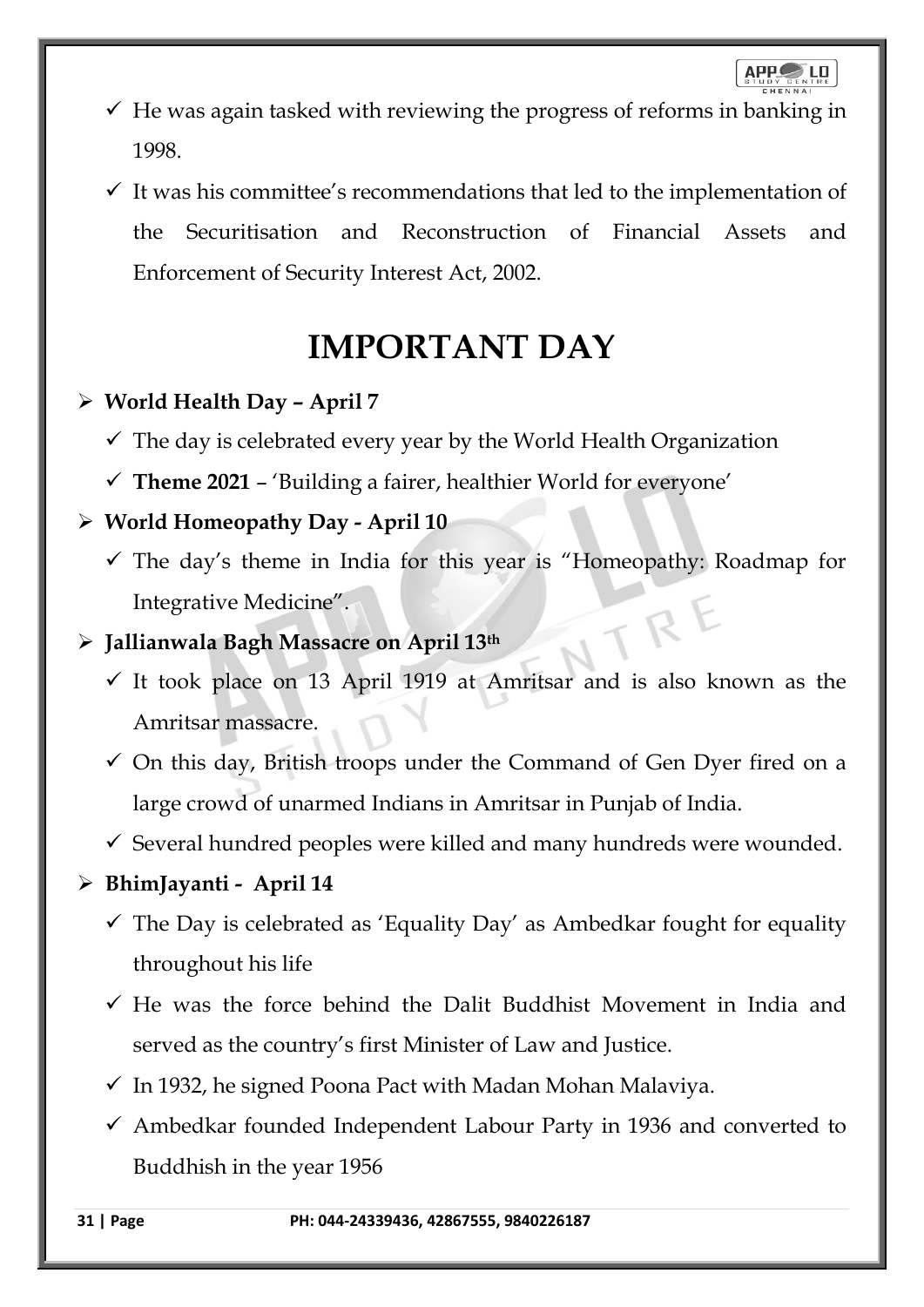- $\checkmark$  He was again tasked with reviewing the progress of reforms in banking in 1998.
- $\checkmark$  It was his committee's recommendations that led to the implementation of the Securitisation and Reconstruction of Financial Assets and Enforcement of Security Interest Act, 2002.

## **IMPORTANT DAY**

## ➢ **World Health Day – April 7**

- $\checkmark$  The day is celebrated every year by the World Health Organization
- $\checkmark$  Theme 2021 'Building a fairer, healthier World for everyone'

## ➢ **World Homeopathy Day - April 10**

 $\checkmark$  The day's theme in India for this year is "Homeopathy: Roadmap for Integrative Medicine".

## ➢ **Jallianwala Bagh Massacre on April 13th**

- ✓ It took place on 13 April 1919 at Amritsar and is also known as the Amritsar massacre.
- $\checkmark$  On this day, British troops under the Command of Gen Dyer fired on a large crowd of unarmed Indians in Amritsar in Punjab of India.
- ✓ Several hundred peoples were killed and many hundreds were wounded.

## ➢ **BhimJayanti - April 14**

- $\checkmark$  The Day is celebrated as 'Equality Day' as Ambedkar fought for equality throughout his life
- $\checkmark$  He was the force behind the Dalit Buddhist Movement in India and served as the country's first Minister of Law and Justice.
- $\checkmark$  In 1932, he signed Poona Pact with Madan Mohan Malaviya.
- $\checkmark$  Ambedkar founded Independent Labour Party in 1936 and converted to Buddhish in the year 1956